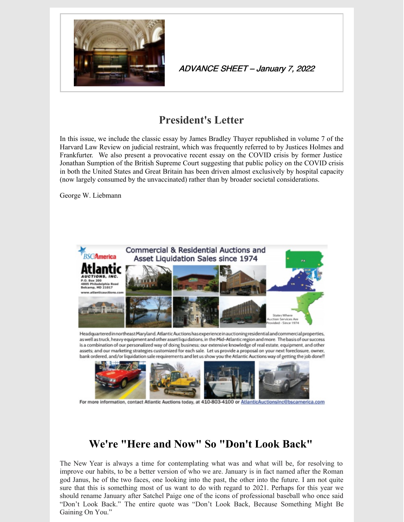

### ADVANCE SHEET – January 7, 2022

## **President's Letter**

In this issue, we include the classic essay by James Bradley Thayer republished in volume 7 of the Harvard Law Review on judicial restraint, which was frequently referred to by Justices Holmes and Frankfurter. We also present a provocative recent essay on the COVID crisis by former Justice Jonathan Sumption of the British Supreme Court suggesting that public policy on the COVID crisis in both the United States and Great Britain has been driven almost exclusively by hospital capacity (now largely consumed by the unvaccinated) rather than by broader societal considerations.

George W. Liebmann





For more information, contact Atlantic Auctions today, at 410-803-4100 or AtlanticAuctionsInc@bscamerica.com

## **We're "Here and Now" So "Don't Look Back"**

The New Year is always a time for contemplating what was and what will be, for resolving to improve our habits, to be a better version of who we are. January is in fact named after the Roman god Janus, he of the two faces, one looking into the past, the other into the future. I am not quite sure that this is something most of us want to do with regard to 2021. Perhaps for this year we should rename January after Satchel Paige one of the icons of professional baseball who once said "Don't Look Back." The entire quote was "Don't Look Back, Because Something Might Be Gaining On You."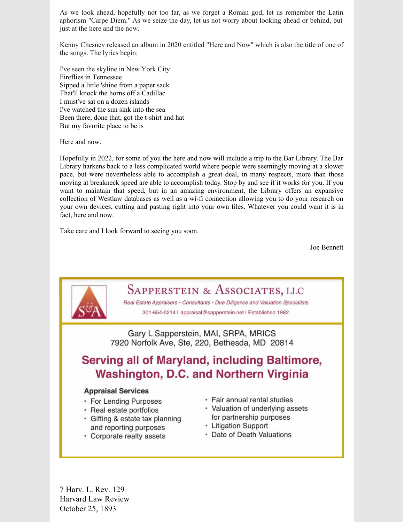As we look ahead, hopefully not too far, as we forget a Roman god, let us remember the Latin aphorism "Carpe Diem." As we seize the day, let us not worry about looking ahead or behind, but just at the here and the now.

Kenny Chesney released an album in 2020 entitled "Here and Now" which is also the title of one of the songs. The lyrics begin:

I've seen the skyline in New York City Fireflies in Tennessee Sipped a little 'shine from a paper sack That'll knock the horns off a Cadillac I must've sat on a dozen islands I've watched the sun sink into the sea Been there, done that, got the t-shirt and hat But my favorite place to be is

Here and now.

Hopefully in 2022, for some of you the here and now will include a trip to the Bar Library. The Bar Library harkens back to a less complicated world where people were seemingly moving at a slower pace, but were nevertheless able to accomplish a great deal, in many respects, more than those moving at breakneck speed are able to accomplish today. Stop by and see if it works for you. If you want to maintain that speed, but in an amazing environment, the Library offers an expansive collection of Westlaw databases as well as a wi-fi connection allowing you to do your research on your own devices, cutting and pasting right into your own files. Whatever you could want it is in fact, here and now.

Take care and I look forward to seeing you soon.

Joe Bennett



7 Harv. L. Rev. 129 Harvard Law Review October 25, 1893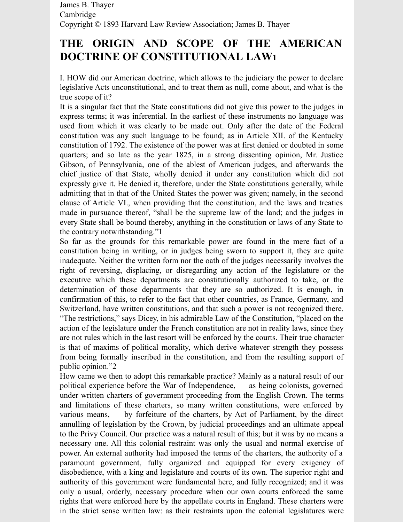# **THE ORIGIN AND SCOPE OF THE AMERICAN DOCTRINE OF CONSTITUTIONAL LAW[1](https://1.next.westlaw.com/Document/If899a5466b1411de9b8c850332338889/View/FullText.html?transitionType=UniqueDocItem&contextData=(sc.Search)&userEnteredCitation=7+Harvard+l+rev+129#co_footnote_F1345395632)**

I. HOW did our American doctrine, which allows to the judiciary the power to declare legislative Acts unconstitutional, and to treat them as null, come about, and what is the true scope of it?

It is a singular fact that the State constitutions did not give this power to the judges in express terms; it was inferential. In the earliest of these instruments no language was used from which it was clearly to be made out. Only after the date of the Federal constitution was any such language to be found; as in Article XII. of the Kentucky constitution of 1792. The existence of the power was at first denied or doubted in some quarters; and so late as the year 1825, in a strong dissenting opinion, Mr. Justice Gibson, of Pennsylvania, one of the ablest of American judges, and afterwards the chief justice of that State, wholly denied it under any constitution which did not expressly give it. He denied it, therefore, under the State constitutions generally, while admitting that in that of the United States the power was given; namely, in the second clause of Article VI., when providing that the constitution, and the laws and treaties made in pursuance thereof, "shall be the supreme law of the land; and the judges in every State shall be bound thereby, anything in the constitution or laws of any State to the contrary notwithstanding.["1](https://1.next.westlaw.com/Document/If899a5466b1411de9b8c850332338889/View/FullText.html?transitionType=UniqueDocItem&contextData=(sc.Default)&userEnteredCitation=7+Harv+l+rev+129#co_footnote_F1XXa345395632)

So far as the grounds for this remarkable power are found in the mere fact of a constitution being in writing, or in judges being sworn to support it, they are quite inadequate. Neither the written form nor the oath of the judges necessarily involves the right of reversing, displacing, or disregarding any action of the legislature or the executive which these departments are constitutionally authorized to take, or the determination of those departments that they are so authorized. It is enough, in confirmation of this, to refer to the fact that other countries, as France, Germany, and Switzerland, have written constitutions, and that such a power is not recognized there. "The restrictions," says Dicey, in his admirable Law of the Constitution, "placed on the action of the legislature under the French constitution are not in reality laws, since they are not rules which in the last resort will be enforced by the courts. Their true character is that of maxims of political morality, which derive whatever strength they possess from being formally inscribed in the constitution, and from the resulting support of public opinion.["2](https://1.next.westlaw.com/Document/If899a5466b1411de9b8c850332338889/View/FullText.html?transitionType=UniqueDocItem&contextData=(sc.Default)&userEnteredCitation=7+Harv+l+rev+129#co_footnote_F2345395632)

How came we then to adopt this remarkable practice? Mainly as a natural result of our political experience before the War of Independence, — as being colonists, governed under written charters of government proceeding from the English Crown. The terms and limitations of these charters, so many written constitutions, were enforced by various means, — by forfeiture of the charters, by Act of Parliament, by the direct annulling of legislation by the Crown, by judicial proceedings and an ultimate appeal to the Privy Council. Our practice was a natural result of this; but it was by no means a necessary one. All this colonial restraint was only the usual and normal exercise of power. An external authority had imposed the terms of the charters, the authority of a paramount government, fully organized and equipped for every exigency of disobedience, with a king and legislature and courts of its own. The superior right and authority of this government were fundamental here, and fully recognized; and it was only a usual, orderly, necessary procedure when our own courts enforced the same rights that were enforced here by the appellate courts in England. These charters were in the strict sense written law: as their restraints upon the colonial legislatures were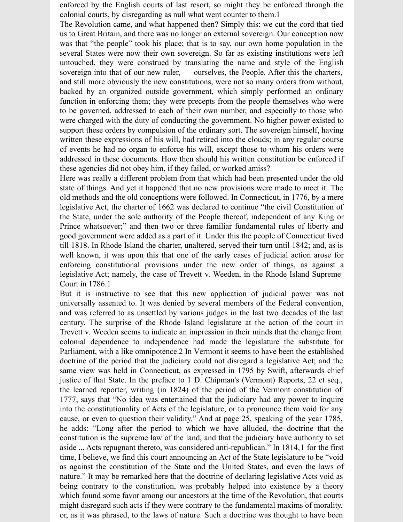enforced by the English courts of last resort, so might they be enforced through the colonial courts, by disregarding as null what went counter to them.[1](https://1.next.westlaw.com/Document/If899a5466b1411de9b8c850332338889/View/FullText.html?transitionType=UniqueDocItem&contextData=(sc.Default)&userEnteredCitation=7+Harv+l+rev+129#co_footnote_F1XXb345395632)

The Revolution came, and what happened then? Simply this: we cut the cord that tied us to Great Britain, and there was no longer an external sovereign. Our conception now was that "the people" took his place; that is to say, our own home population in the several States were now their own sovereign. So far as existing institutions were left untouched, they were construed by translating the name and style of the English sovereign into that of our new ruler, — ourselves, the People. After this the charters, and still more obviously the new constitutions, were not so many orders from without, backed by an organized outside government, which simply performed an ordinary function in enforcing them; they were precepts from the people themselves who were to be governed, addressed to each of their own number, and especially to those who were charged with the duty of conducting the government. No higher power existed to support these orders by compulsion of the ordinary sort. The sovereign himself, having written these expressions of his will, had retired into the clouds; in any regular course of events he had no organ to enforce his will, except those to whom his orders were addressed in these documents. How then should his written constitution be enforced if these agencies did not obey him, if they failed, or worked amiss?

Here was really a different problem from that which had been presented under the old state of things. And yet it happened that no new provisions were made to meet it. The old methods and the old conceptions were followed. In Connecticut, in 1776, by a mere legislative Act, the charter of 1662 was declared to continue "the civil Constitution of the State, under the sole authority of the People thereof, independent of any King or Prince whatsoever;" and then two or three familiar fundamental rules of liberty and good government were added as a part of it. Under this the people of Connecticut lived till 1818. In Rhode Island the charter, unaltered, served their turn until 1842; and, as is well known, it was upon this that one of the early cases of judicial action arose for enforcing constitutional provisions under the new order of things, as against a legislative Act; namely, the case of Trevett v. Weeden, in the Rhode Island Supreme Court in 1786[.1](https://1.next.westlaw.com/Document/If899a5466b1411de9b8c850332338889/View/FullText.html?transitionType=UniqueDocItem&contextData=(sc.Default)&userEnteredCitation=7+Harv+l+rev+129#co_footnote_F1XXc345395632)

But it is instructive to see that this new application of judicial power was not universally assented to. It was denied by several members of the Federal convention, and was referred to as unsettled by various judges in the last two decades of the last century. The surprise of the Rhode Island legislature at the action of the court in Trevett v. Weeden seems to indicate an impression in their minds that the change from colonial dependence to independence had made the legislature the substitute for Parliament, with a like omnipotence[.2](https://1.next.westlaw.com/Document/If899a5466b1411de9b8c850332338889/View/FullText.html?transitionType=UniqueDocItem&contextData=(sc.Default)&userEnteredCitation=7+Harv+l+rev+129#co_footnote_F2XXa345395632) In Vermont it seems to have been the established doctrine of the period that the judiciary could not disregard a legislative Act; and the same view was held in Connecticut, as expressed in 1795 by Swift, afterwards chief justice of that State. In the preface to 1 D. Chipman's (Vermont) Reports, 22 et seq., the learned reporter, writing (in 1824) of the period of the Vermont constitution of 1777, says that "No idea was entertained that the judiciary had any power to inquire into the constitutionality of Acts of the legislature, or to pronounce them void for any cause, or even to question their validity." And at page 25, speaking of the year 1785, he adds: "Long after the period to which we have alluded, the doctrine that the constitution is the supreme law of the land, and that the judiciary have authority to set aside ... Acts repugnant thereto, was considered anti-republican." In 1814,[1](https://1.next.westlaw.com/Document/If899a5466b1411de9b8c850332338889/View/FullText.html?transitionType=UniqueDocItem&contextData=(sc.Default)&userEnteredCitation=7+Harv+l+rev+129#co_footnote_F1XXd345395632) for the first time, I believe, we find this court announcing an Act of the State legislature to be "void as against the constitution of the State and the United States, and even the laws of nature." It may be remarked here that the doctrine of declaring legislative Acts void as being contrary to the constitution, was probably helped into existence by a theory which found some favor among our ancestors at the time of the Revolution, that courts might disregard such acts if they were contrary to the fundamental maxims of morality, or, as it was phrased, to the laws of nature. Such a doctrine was thought to have been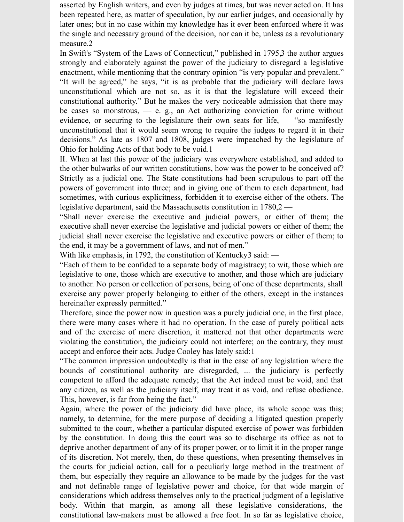asserted by English writers, and even by judges at times, but was never acted on. It has been repeated here, as matter of speculation, by our earlier judges, and occasionally by later ones; but in no case within my knowledge has it ever been enforced where it was the single and necessary ground of the decision, nor can it be, unless as a revolutionary measure[.2](https://1.next.westlaw.com/Document/If899a5466b1411de9b8c850332338889/View/FullText.html?transitionType=UniqueDocItem&contextData=(sc.Default)&userEnteredCitation=7+Harv+l+rev+129#co_footnote_F2XXb345395632)

In Swift's "System of the Laws of Connecticut," published in 1795[,3](https://1.next.westlaw.com/Document/If899a5466b1411de9b8c850332338889/View/FullText.html?transitionType=UniqueDocItem&contextData=(sc.Default)&userEnteredCitation=7+Harv+l+rev+129#co_footnote_F3345395632) the author argues strongly and elaborately against the power of the judiciary to disregard a legislative enactment, while mentioning that the contrary opinion "is very popular and prevalent." "It will be agreed," he says, "it is as probable that the judiciary will declare laws unconstitutional which are not so, as it is that the legislature will exceed their constitutional authority." But he makes the very noticeable admission that there may be cases so monstrous,  $-$  e. g., an Act authorizing conviction for crime without evidence, or securing to the legislature their own seats for life, — "so manifestly unconstitutional that it would seem wrong to require the judges to regard it in their decisions." As late as 1807 and 1808, judges were impeached by the legislature of Ohio for holding Acts of that body to be void[.1](https://1.next.westlaw.com/Document/If899a5466b1411de9b8c850332338889/View/FullText.html?transitionType=UniqueDocItem&contextData=(sc.Default)&userEnteredCitation=7+Harv+l+rev+129#co_footnote_F1XXe345395632)

II. When at last this power of the judiciary was everywhere established, and added to the other bulwarks of our written constitutions, how was the power to be conceived of? Strictly as a judicial one. The State constitutions had been scrupulous to part off the powers of government into three; and in giving one of them to each department, had sometimes, with curious explicitness, forbidden it to exercise either of the others. The legislative department, said the Massachusetts constitution in 1780[,2](https://1.next.westlaw.com/Document/If899a5466b1411de9b8c850332338889/View/FullText.html?transitionType=UniqueDocItem&contextData=(sc.Default)&userEnteredCitation=7+Harv+l+rev+129#co_footnote_F2XXc345395632) —

"Shall never exercise the executive and judicial powers, or either of them; the executive shall never exercise the legislative and judicial powers or either of them; the judicial shall never exercise the legislative and executive powers or either of them; to the end, it may be a government of laws, and not of men."

With like emphasis, in 1792, the constitution of Kentuck[y3](https://1.next.westlaw.com/Document/If899a5466b1411de9b8c850332338889/View/FullText.html?transitionType=UniqueDocItem&contextData=(sc.Default)&userEnteredCitation=7+Harv+l+rev+129#co_footnote_F3XXa345395632) said: —

"Each of them to be confided to a separate body of magistracy; to wit, those which are legislative to one, those which are executive to another, and those which are judiciary to another. No person or collection of persons, being of one of these departments, shall exercise any power properly belonging to either of the others, except in the instances hereinafter expressly permitted."

Therefore, since the power now in question was a purely judicial one, in the first place, there were many cases where it had no operation. In the case of purely political acts and of the exercise of mere discretion, it mattered not that other departments were violating the constitution, the judiciary could not interfere; on the contrary, they must accept and enforce their acts. Judge Cooley has lately said:[1](https://1.next.westlaw.com/Document/If899a5466b1411de9b8c850332338889/View/FullText.html?transitionType=UniqueDocItem&contextData=(sc.Default)&userEnteredCitation=7+Harv+l+rev+129#co_footnote_F1XXf345395632) —

"The common impression undoubtedly is that in the case of any legislation where the bounds of constitutional authority are disregarded, ... the judiciary is perfectly competent to afford the adequate remedy; that the Act indeed must be void, and that any citizen, as well as the judiciary itself, may treat it as void, and refuse obedience. This, however, is far from being the fact."

Again, where the power of the judiciary did have place, its whole scope was this; namely, to determine, for the mere purpose of deciding a litigated question properly submitted to the court, whether a particular disputed exercise of power was forbidden by the constitution. In doing this the court was so to discharge its office as not to deprive another department of any of its proper power, or to limit it in the proper range of its discretion. Not merely, then, do these questions, when presenting themselves in the courts for judicial action, call for a peculiarly large method in the treatment of them, but especially they require an allowance to be made by the judges for the vast and not definable range of legislative power and choice, for that wide margin of considerations which address themselves only to the practical judgment of a legislative body. Within that margin, as among all these legislative considerations, the constitutional law-makers must be allowed a free foot. In so far as legislative choice,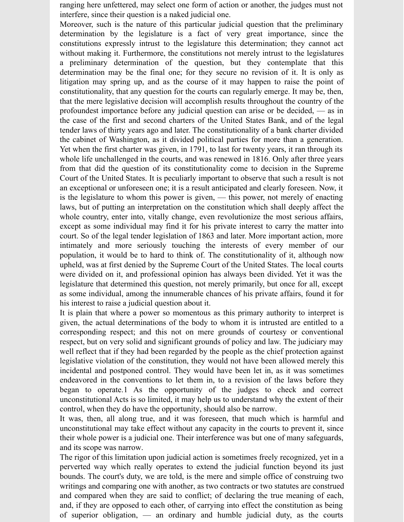ranging here unfettered, may select one form of action or another, the judges must not interfere, since their question is a naked judicial one.

Moreover, such is the nature of this particular judicial question that the preliminary determination by the legislature is a fact of very great importance, since the constitutions expressly intrust to the legislature this determination; they cannot act without making it. Furthermore, the constitutions not merely intrust to the legislatures a preliminary determination of the question, but they contemplate that this determination may be the final one; for they secure no revision of it. It is only as litigation may spring up, and as the course of it may happen to raise the point of constitutionality, that any question for the courts can regularly emerge. It may be, then, that the mere legislative decision will accomplish results throughout the country of the profoundest importance before any judicial question can arise or be decided, — as in the case of the first and second charters of the United States Bank, and of the legal tender laws of thirty years ago and later. The constitutionality of a bank charter divided the cabinet of Washington, as it divided political parties for more than a generation. Yet when the first charter was given, in 1791, to last for twenty years, it ran through its whole life unchallenged in the courts, and was renewed in 1816. Only after three years from that did the question of its constitutionality come to decision in the Supreme Court of the United States. It is peculiarly important to observe that such a result is not an exceptional or unforeseen one; it is a result anticipated and clearly foreseen. Now, it is the legislature to whom this power is given, — this power, not merely of enacting laws, but of putting an interpretation on the constitution which shall deeply affect the whole country, enter into, vitally change, even revolutionize the most serious affairs, except as some individual may find it for his private interest to carry the matter into court. So of the legal tender legislation of 1863 and later. More important action, more intimately and more seriously touching the interests of every member of our population, it would be to hard to think of. The constitutionality of it, although now upheld, was at first denied by the Supreme Court of the United States. The local courts were divided on it, and professional opinion has always been divided. Yet it was the legislature that determined this question, not merely primarily, but once for all, except as some individual, among the innumerable chances of his private affairs, found it for his interest to raise a judicial question about it.

It is plain that where a power so momentous as this primary authority to interpret is given, the actual determinations of the body to whom it is intrusted are entitled to a corresponding respect; and this not on mere grounds of courtesy or conventional respect, but on very solid and significant grounds of policy and law. The judiciary may well reflect that if they had been regarded by the people as the chief protection against legislative violation of the constitution, they would not have been allowed merely this incidental and postponed control. They would have been let in, as it was sometimes endeavored in the conventions to let them in, to a revision of the laws before they began to operate[.1](https://1.next.westlaw.com/Document/If899a5466b1411de9b8c850332338889/View/FullText.html?transitionType=UniqueDocItem&contextData=(sc.Default)&userEnteredCitation=7+Harv+l+rev+129#co_footnote_F1XXg345395632) As the opportunity of the judges to check and correct unconstitutional Acts is so limited, it may help us to understand why the extent of their control, when they do have the opportunity, should also be narrow.

It was, then, all along true, and it was foreseen, that much which is harmful and unconstitutional may take effect without any capacity in the courts to prevent it, since their whole power is a judicial one. Their interference was but one of many safeguards, and its scope was narrow.

The rigor of this limitation upon judicial action is sometimes freely recognized, yet in a perverted way which really operates to extend the judicial function beyond its just bounds. The court's duty, we are told, is the mere and simple office of construing two writings and comparing one with another, as two contracts or two statutes are construed and compared when they are said to conflict; of declaring the true meaning of each, and, if they are opposed to each other, of carrying into effect the constitution as being of superior obligation, — an ordinary and humble judicial duty, as the courts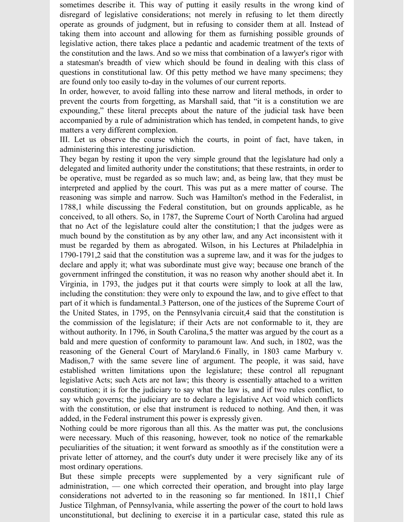sometimes describe it. This way of putting it easily results in the wrong kind of disregard of legislative considerations; not merely in refusing to let them directly operate as grounds of judgment, but in refusing to consider them at all. Instead of taking them into account and allowing for them as furnishing possible grounds of legislative action, there takes place a pedantic and academic treatment of the texts of the constitution and the laws. And so we miss that combination of a lawyer's rigor with a statesman's breadth of view which should be found in dealing with this class of questions in constitutional law. Of this petty method we have many specimens; they are found only too easily to-day in the volumes of our current reports.

In order, however, to avoid falling into these narrow and literal methods, in order to prevent the courts from forgetting, as Marshall said, that "it is a constitution we are expounding," these literal precepts about the nature of the judicial task have been accompanied by a rule of administration which has tended, in competent hands, to give matters a very different complexion.

III. Let us observe the course which the courts, in point of fact, have taken, in administering this interesting jurisdiction.

They began by resting it upon the very simple ground that the legislature had only a delegated and limited authority under the constitutions; that these restraints, in order to be operative, must be regarded as so much law; and, as being law, that they must be interpreted and applied by the court. This was put as a mere matter of course. The reasoning was simple and narrow. Such was Hamilton's method in the Federalist, in 1788[,1](https://1.next.westlaw.com/Document/If899a5466b1411de9b8c850332338889/View/FullText.html?transitionType=UniqueDocItem&contextData=(sc.Default)&userEnteredCitation=7+Harv+l+rev+129#co_footnote_F1XXh345395632) while discussing the Federal constitution, but on grounds applicable, as he conceived, to all others. So, in 1787, the Supreme Court of North Carolina had argued that no Act of the legislature could alter the constitution;[1](https://1.next.westlaw.com/Document/If899a5466b1411de9b8c850332338889/View/FullText.html?transitionType=UniqueDocItem&contextData=(sc.Default)&userEnteredCitation=7+Harv+l+rev+129#co_footnote_F1XXi345395632) that the judges were as much bound by the constitution as by any other law, and any Act inconsistent with it must be regarded by them as abrogated. Wilson, in his Lectures at Philadelphia in 1790-1791[,2](https://1.next.westlaw.com/Document/If899a5466b1411de9b8c850332338889/View/FullText.html?transitionType=UniqueDocItem&contextData=(sc.Default)&userEnteredCitation=7+Harv+l+rev+129#co_footnote_F2XXd345395632) said that the constitution was a supreme law, and it was for the judges to declare and apply it; what was subordinate must give way; because one branch of the government infringed the constitution, it was no reason why another should abet it. In Virginia, in 1793, the judges put it that courts were simply to look at all the law, including the constitution: they were only to expound the law, and to give effect to that part of it which is fundamental.[3](https://1.next.westlaw.com/Document/If899a5466b1411de9b8c850332338889/View/FullText.html?transitionType=UniqueDocItem&contextData=(sc.Default)&userEnteredCitation=7+Harv+l+rev+129#co_footnote_F3XXb345395632) Patterson, one of the justices of the Supreme Court of the United States, in 1795, on the Pennsylvania circuit[,4](https://1.next.westlaw.com/Document/If899a5466b1411de9b8c850332338889/View/FullText.html?transitionType=UniqueDocItem&contextData=(sc.Default)&userEnteredCitation=7+Harv+l+rev+129#co_footnote_F4345395632) said that the constitution is the commission of the legislature; if their Acts are not conformable to it, they are without authority. In 1796, in South Carolina, [5](https://1.next.westlaw.com/Document/If899a5466b1411de9b8c850332338889/View/FullText.html?transitionType=UniqueDocItem&contextData=(sc.Default)&userEnteredCitation=7+Harv+l+rev+129#co_footnote_F5345395632) the matter was argued by the court as a bald and mere question of conformity to paramount law. And such, in 1802, was the reasoning of the General Court of Maryland[.6](https://1.next.westlaw.com/Document/If899a5466b1411de9b8c850332338889/View/FullText.html?transitionType=UniqueDocItem&contextData=(sc.Default)&userEnteredCitation=7+Harv+l+rev+129#co_footnote_F6345395632) Finally, in 1803 came Marbury v. Madison[,7](https://1.next.westlaw.com/Document/If899a5466b1411de9b8c850332338889/View/FullText.html?transitionType=UniqueDocItem&contextData=(sc.Default)&userEnteredCitation=7+Harv+l+rev+129#co_footnote_F7345395632) with the same severe line of argument. The people, it was said, have established written limitations upon the legislature; these control all repugnant legislative Acts; such Acts are not law; this theory is essentially attached to a written constitution; it is for the judiciary to say what the law is, and if two rules conflict, to say which governs; the judiciary are to declare a legislative Act void which conflicts with the constitution, or else that instrument is reduced to nothing. And then, it was added, in the Federal instrument this power is expressly given.

Nothing could be more rigorous than all this. As the matter was put, the conclusions were necessary. Much of this reasoning, however, took no notice of the remarkable peculiarities of the situation; it went forward as smoothly as if the constitution were a private letter of attorney, and the court's duty under it were precisely like any of its most ordinary operations.

But these simple precepts were supplemented by a very significant rule of administration, — one which corrected their operation, and brought into play large considerations not adverted to in the reasoning so far mentioned. In 1811[,1](https://1.next.westlaw.com/Document/If899a5466b1411de9b8c850332338889/View/FullText.html?transitionType=UniqueDocItem&contextData=(sc.Default)&userEnteredCitation=7+Harv+l+rev+129#co_footnote_F1XXj345395632) Chief Justice Tilghman, of Pennsylvania, while asserting the power of the court to hold laws unconstitutional, but declining to exercise it in a particular case, stated this rule as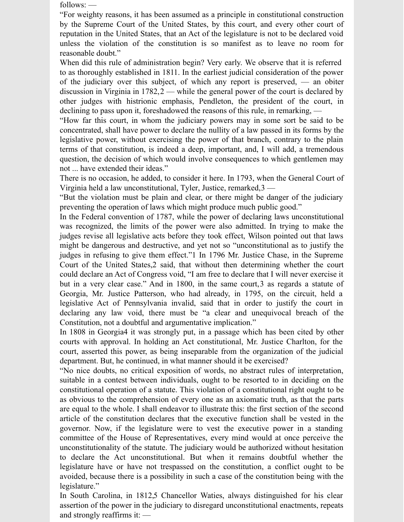follows: —

"For weighty reasons, it has been assumed as a principle in constitutional construction by the Supreme Court of the United States, by this court, and every other court of reputation in the United States, that an Act of the legislature is not to be declared void unless the violation of the constitution is so manifest as to leave no room for reasonable doubt."

When did this rule of administration begin? Very early. We observe that it is referred to as thoroughly established in 1811. In the earliest judicial consideration of the power of the judiciary over this subject, of which any report is preserved, — an obiter discussion in Virginia in 1782,[2](https://1.next.westlaw.com/Document/If899a5466b1411de9b8c850332338889/View/FullText.html?transitionType=UniqueDocItem&contextData=(sc.Default)&userEnteredCitation=7+Harv+l+rev+129#co_footnote_F2XXe345395632) — while the general power of the court is declared by other judges with histrionic emphasis, Pendleton, the president of the court, in declining to pass upon it, foreshadowed the reasons of this rule, in remarking, —

"How far this court, in whom the judiciary powers may in some sort be said to be concentrated, shall have power to declare the nullity of a law passed in its forms by the legislative power, without exercising the power of that branch, contrary to the plain terms of that constitution, is indeed a deep, important, and, I will add, a tremendous question, the decision of which would involve consequences to which gentlemen may not ... have extended their ideas."

There is no occasion, he added, to consider it here. In 1793, when the General Court of Virginia held a law unconstitutional, Tyler, Justice, remarked,[3](https://1.next.westlaw.com/Document/If899a5466b1411de9b8c850332338889/View/FullText.html?transitionType=UniqueDocItem&contextData=(sc.Default)&userEnteredCitation=7+Harv+l+rev+129#co_footnote_F3XXc345395632) —

"But the violation must be plain and clear, or there might be danger of the judiciary preventing the operation of laws which might produce much public good."

In the Federal convention of 1787, while the power of declaring laws unconstitutional was recognized, the limits of the power were also admitted. In trying to make the judges revise all legislative acts before they took effect, Wilson pointed out that laws might be dangerous and destructive, and yet not so "unconstitutional as to justify the judges in refusing to give them effect.["1](https://1.next.westlaw.com/Document/If899a5466b1411de9b8c850332338889/View/FullText.html?transitionType=UniqueDocItem&contextData=(sc.Default)&userEnteredCitation=7+Harv+l+rev+129#co_footnote_F1XXk345395632) In 1796 Mr. Justice Chase, in the Supreme Court of the United States[,2](https://1.next.westlaw.com/Document/If899a5466b1411de9b8c850332338889/View/FullText.html?transitionType=UniqueDocItem&contextData=(sc.Default)&userEnteredCitation=7+Harv+l+rev+129#co_footnote_F2XXf345395632) said, that without then determining whether the court could declare an Act of Congress void, "I am free to declare that I will never exercise it but in a very clear case." And in 1800, in the same court,[3](https://1.next.westlaw.com/Document/If899a5466b1411de9b8c850332338889/View/FullText.html?transitionType=UniqueDocItem&contextData=(sc.Default)&userEnteredCitation=7+Harv+l+rev+129#co_footnote_F3XXd345395632) as regards a statute of Georgia, Mr. Justice Patterson, who had already, in 1795, on the circuit, held a legislative Act of Pennsylvania invalid, said that in order to justify the court in declaring any law void, there must be "a clear and unequivocal breach of the Constitution, not a doubtful and argumentative implication."

In 1808 in Georgi[a4](https://1.next.westlaw.com/Document/If899a5466b1411de9b8c850332338889/View/FullText.html?transitionType=UniqueDocItem&contextData=(sc.Default)&userEnteredCitation=7+Harv+l+rev+129#co_footnote_F4XXa345395632) it was strongly put, in a passage which has been cited by other courts with approval. In holding an Act constitutional, Mr. Justice Charlton, for the court, asserted this power, as being inseparable from the organization of the judicial department. But, he continued, in what manner should it be exercised?

"No nice doubts, no critical exposition of words, no abstract rules of interpretation, suitable in a contest between individuals, ought to be resorted to in deciding on the constitutional operation of a statute. This violation of a constitutional right ought to be as obvious to the comprehension of every one as an axiomatic truth, as that the parts are equal to the whole. I shall endeavor to illustrate this: the first section of the second article of the constitution declares that the executive function shall be vested in the governor. Now, if the legislature were to vest the executive power in a standing committee of the House of Representatives, every mind would at once perceive the unconstitutionality of the statute. The judiciary would be authorized without hesitation to declare the Act unconstitutional. But when it remains doubtful whether the legislature have or have not trespassed on the constitution, a conflict ought to be avoided, because there is a possibility in such a case of the constitution being with the legislature."

In South Carolina, in 1812[,5](https://1.next.westlaw.com/Document/If899a5466b1411de9b8c850332338889/View/FullText.html?transitionType=UniqueDocItem&contextData=(sc.Default)&userEnteredCitation=7+Harv+l+rev+129#co_footnote_F5XXa345395632) Chancellor Waties, always distinguished for his clear assertion of the power in the judiciary to disregard unconstitutional enactments, repeats and strongly reaffirms it: —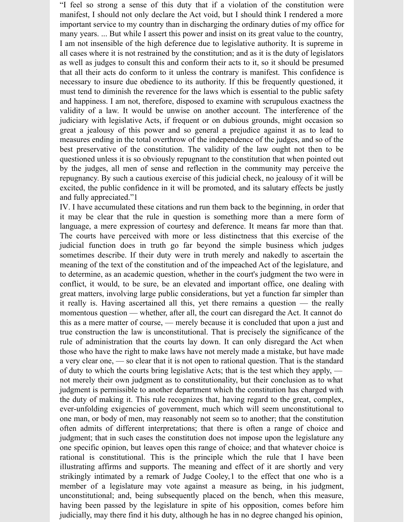"I feel so strong a sense of this duty that if a violation of the constitution were manifest, I should not only declare the Act void, but I should think I rendered a more important service to my country than in discharging the ordinary duties of my office for many years. ... But while I assert this power and insist on its great value to the country, I am not insensible of the high deference due to legislative authority. It is supreme in all cases where it is not restrained by the constitution; and as it is the duty of legislators as well as judges to consult this and conform their acts to it, so it should be presumed that all their acts do conform to it unless the contrary is manifest. This confidence is necessary to insure due obedience to its authority. If this be frequently questioned, it must tend to diminish the reverence for the laws which is essential to the public safety and happiness. I am not, therefore, disposed to examine with scrupulous exactness the validity of a law. It would be unwise on another account. The interference of the judiciary with legislative Acts, if frequent or on dubious grounds, might occasion so great a jealousy of this power and so general a prejudice against it as to lead to measures ending in the total overthrow of the independence of the judges, and so of the best preservative of the constitution. The validity of the law ought not then to be questioned unless it is so obviously repugnant to the constitution that when pointed out by the judges, all men of sense and reflection in the community may perceive the repugnancy. By such a cautious exercise of this judicial check, no jealousy of it will be excited, the public confidence in it will be promoted, and its salutary effects be justly and fully appreciated."[1](https://1.next.westlaw.com/Document/If899a5466b1411de9b8c850332338889/View/FullText.html?transitionType=UniqueDocItem&contextData=(sc.Default)&userEnteredCitation=7+Harv+l+rev+129#co_footnote_F1XXl345395632)

IV. I have accumulated these citations and run them back to the beginning, in order that it may be clear that the rule in question is something more than a mere form of language, a mere expression of courtesy and deference. It means far more than that. The courts have perceived with more or less distinctness that this exercise of the judicial function does in truth go far beyond the simple business which judges sometimes describe. If their duty were in truth merely and nakedly to ascertain the meaning of the text of the constitution and of the impeached Act of the legislature, and to determine, as an academic question, whether in the court's judgment the two were in conflict, it would, to be sure, be an elevated and important office, one dealing with great matters, involving large public considerations, but yet a function far simpler than it really is. Having ascertained all this, yet there remains a question — the really momentous question — whether, after all, the court can disregard the Act. It cannot do this as a mere matter of course, — merely because it is concluded that upon a just and true construction the law is unconstitutional. That is precisely the significance of the rule of administration that the courts lay down. It can only disregard the Act when those who have the right to make laws have not merely made a mistake, but have made a very clear one, — so clear that it is not open to rational question. That is the standard of duty to which the courts bring legislative Acts; that is the test which they apply, not merely their own judgment as to constitutionality, but their conclusion as to what judgment is permissible to another department which the constitution has charged with the duty of making it. This rule recognizes that, having regard to the great, complex, ever-unfolding exigencies of government, much which will seem unconstitutional to one man, or body of men, may reasonably not seem so to another; that the constitution often admits of different interpretations; that there is often a range of choice and judgment; that in such cases the constitution does not impose upon the legislature any one specific opinion, but leaves open this range of choice; and that whatever choice is rational is constitutional. This is the principle which the rule that I have been illustrating affirms and supports. The meaning and effect of it are shortly and very strikingly intimated by a remark of Judge Cooley,[1](https://1.next.westlaw.com/Document/If899a5466b1411de9b8c850332338889/View/FullText.html?transitionType=UniqueDocItem&contextData=(sc.Default)&userEnteredCitation=7+Harv+l+rev+129#co_footnote_F1XXm345395632) to the effect that one who is a member of a legislature may vote against a measure as being, in his judgment, unconstitutional; and, being subsequently placed on the bench, when this measure, having been passed by the legislature in spite of his opposition, comes before him judicially, may there find it his duty, although he has in no degree changed his opinion,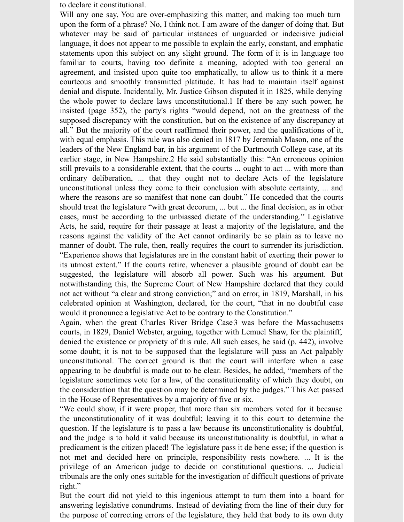to declare it constitutional.

Will any one say, You are over-emphasizing this matter, and making too much turn upon the form of a phrase? No, I think not. I am aware of the danger of doing that. But whatever may be said of particular instances of unguarded or indecisive judicial language, it does not appear to me possible to explain the early, constant, and emphatic statements upon this subject on any slight ground. The form of it is in language too familiar to courts, having too definite a meaning, adopted with too general an agreement, and insisted upon quite too emphatically, to allow us to think it a mere courteous and smoothly transmitted platitude. It has had to maintain itself against denial and dispute. Incidentally, Mr. Justice Gibson disputed it in 1825, while denying the whole power to declare laws unconstitutional[.1](https://1.next.westlaw.com/Document/If899a5466b1411de9b8c850332338889/View/FullText.html?transitionType=UniqueDocItem&contextData=(sc.Default)&userEnteredCitation=7+Harv+l+rev+129#co_footnote_F1XXn345395632) If there be any such power, he insisted (page 352), the party's rights "would depend, not on the greatness of the supposed discrepancy with the constitution, but on the existence of any discrepancy at all." But the majority of the court reaffirmed their power, and the qualifications of it, with equal emphasis. This rule was also denied in 1817 by Jeremiah Mason, one of the leaders of the New England bar, in his argument of the Dartmouth College case, at its earlier stage, in New Hampshire[.2](https://1.next.westlaw.com/Document/If899a5466b1411de9b8c850332338889/View/FullText.html?transitionType=UniqueDocItem&contextData=(sc.Default)&userEnteredCitation=7+Harv+l+rev+129#co_footnote_F2XXg345395632) He said substantially this: "An erroneous opinion still prevails to a considerable extent, that the courts ... ought to act ... with more than ordinary deliberation, ... that they ought not to declare Acts of the legislature unconstitutional unless they come to their conclusion with absolute certainty, ... and where the reasons are so manifest that none can doubt." He conceded that the courts should treat the legislature "with great decorum, ... but ... the final decision, as in other cases, must be according to the unbiassed dictate of the understanding." Legislative Acts, he said, require for their passage at least a majority of the legislature, and the reasons against the validity of the Act cannot ordinarily be so plain as to leave no manner of doubt. The rule, then, really requires the court to surrender its jurisdiction. "Experience shows that legislatures are in the constant habit of exerting their power to its utmost extent." If the courts retire, whenever a plausible ground of doubt can be suggested, the legislature will absorb all power. Such was his argument. But notwithstanding this, the Supreme Court of New Hampshire declared that they could not act without "a clear and strong conviction;" and on error, in 1819, Marshall, in his celebrated opinion at Washington, declared, for the court, "that in no doubtful case would it pronounce a legislative Act to be contrary to the Constitution."

Again, when the great Charles River Bridge Case[3](https://1.next.westlaw.com/Document/If899a5466b1411de9b8c850332338889/View/FullText.html?transitionType=UniqueDocItem&contextData=(sc.Default)&userEnteredCitation=7+Harv+l+rev+129#co_footnote_F3XXe345395632) was before the Massachusetts courts, in 1829, Daniel Webster, arguing, together with Lemuel Shaw, for the plaintiff, denied the existence or propriety of this rule. All such cases, he said (p. 442), involve some doubt; it is not to be supposed that the legislature will pass an Act palpably unconstitutional. The correct ground is that the court will interfere when a case appearing to be doubtful is made out to be clear. Besides, he added, "members of the legislature sometimes vote for a law, of the constitutionality of which they doubt, on the consideration that the question may be determined by the judges." This Act passed in the House of Representatives by a majority of five or six.

"We could show, if it were proper, that more than six members voted for it because the unconstitutionality of it was doubtful; leaving it to this court to determine the question. If the legislature is to pass a law because its unconstitutionality is doubtful, and the judge is to hold it valid because its unconstitutionality is doubtful, in what a predicament is the citizen placed! The legislature pass it de bene esse; if the question is not met and decided here on principle, responsibility rests nowhere. ... It is the privilege of an American judge to decide on constitutional questions. ... Judicial tribunals are the only ones suitable for the investigation of difficult questions of private right."

But the court did not yield to this ingenious attempt to turn them into a board for answering legislative conundrums. Instead of deviating from the line of their duty for the purpose of correcting errors of the legislature, they held that body to its own duty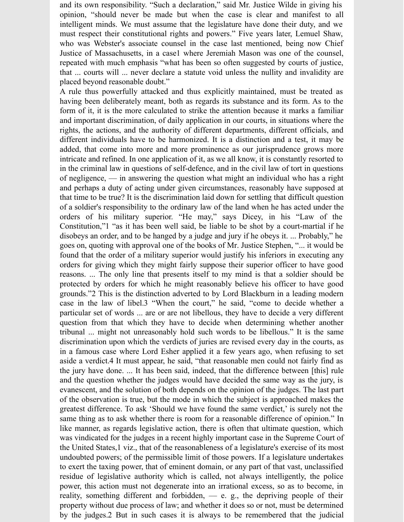and its own responsibility. "Such a declaration," said Mr. Justice Wilde in giving his opinion, "should never be made but when the case is clear and manifest to all intelligent minds. We must assume that the legislature have done their duty, and we must respect their constitutional rights and powers." Five years later, Lemuel Shaw, who was Webster's associate counsel in the case last mentioned, being now Chief Justice of Massachusetts, in a cas[e1](https://1.next.westlaw.com/Document/If899a5466b1411de9b8c850332338889/View/FullText.html?transitionType=UniqueDocItem&contextData=(sc.Default)&userEnteredCitation=7+Harv+l+rev+129#co_footnote_F1XXo345395632) where Jeremiah Mason was one of the counsel, repeated with much emphasis "what has been so often suggested by courts of justice, that ... courts will ... never declare a statute void unless the nullity and invalidity are placed beyond reasonable doubt."

A rule thus powerfully attacked and thus explicitly maintained, must be treated as having been deliberately meant, both as regards its substance and its form. As to the form of it, it is the more calculated to strike the attention because it marks a familiar and important discrimination, of daily application in our courts, in situations where the rights, the actions, and the authority of different departments, different officials, and different individuals have to be harmonized. It is a distinction and a test, it may be added, that come into more and more prominence as our jurisprudence grows more intricate and refined. In one application of it, as we all know, it is constantly resorted to in the criminal law in questions of self-defence, and in the civil law of tort in questions of negligence, — in answering the question what might an individual who has a right and perhaps a duty of acting under given circumstances, reasonably have supposed at that time to be true? It is the discrimination laid down for settling that difficult question of a soldier's responsibility to the ordinary law of the land when he has acted under the orders of his military superior. "He may," says Dicey, in his "Law of the Constitution,["1](https://1.next.westlaw.com/Document/If899a5466b1411de9b8c850332338889/View/FullText.html?transitionType=UniqueDocItem&contextData=(sc.Default)&userEnteredCitation=7+Harv+l+rev+129#co_footnote_F1XXp345395632) "as it has been well said, be liable to be shot by a court-martial if he disobeys an order, and to be hanged by a judge and jury if he obeys it. ... Probably," he goes on, quoting with approval one of the books of Mr. Justice Stephen, "... it would be found that the order of a military superior would justify his inferiors in executing any orders for giving which they might fairly suppose their superior officer to have good reasons. ... The only line that presents itself to my mind is that a soldier should be protected by orders for which he might reasonably believe his officer to have good grounds.["2](https://1.next.westlaw.com/Document/If899a5466b1411de9b8c850332338889/View/FullText.html?transitionType=UniqueDocItem&contextData=(sc.Default)&userEnteredCitation=7+Harv+l+rev+129#co_footnote_F2XXh345395632) This is the distinction adverted to by Lord Blackburn in a leading modern case in the law of libel[.3](https://1.next.westlaw.com/Document/If899a5466b1411de9b8c850332338889/View/FullText.html?transitionType=UniqueDocItem&contextData=(sc.Default)&userEnteredCitation=7+Harv+l+rev+129#co_footnote_F3XXf345395632) "When the court," he said, "come to decide whether a particular set of words ... are or are not libellous, they have to decide a very different question from that which they have to decide when determining whether another tribunal ... might not unreasonably hold such words to be libellous." It is the same discrimination upon which the verdicts of juries are revised every day in the courts, as in a famous case where Lord Esher applied it a few years ago, when refusing to set aside a verdict[.4](https://1.next.westlaw.com/Document/If899a5466b1411de9b8c850332338889/View/FullText.html?transitionType=UniqueDocItem&contextData=(sc.Default)&userEnteredCitation=7+Harv+l+rev+129#co_footnote_F4XXb345395632) It must appear, he said, "that reasonable men could not fairly find as the jury have done. ... It has been said, indeed, that the difference between [this] rule and the question whether the judges would have decided the same way as the jury, is evanescent, and the solution of both depends on the opinion of the judges. The last part of the observation is true, but the mode in which the subject is approached makes the greatest difference. To ask 'Should we have found the same verdict,' is surely not the same thing as to ask whether there is room for a reasonable difference of opinion." In like manner, as regards legislative action, there is often that ultimate question, which was vindicated for the judges in a recent highly important case in the Supreme Court of the United States[,1](https://1.next.westlaw.com/Document/If899a5466b1411de9b8c850332338889/View/FullText.html?transitionType=UniqueDocItem&contextData=(sc.Default)&userEnteredCitation=7+Harv+l+rev+129#co_footnote_F1XXq345395632) viz., that of the reasonableness of a legislature's exercise of its most undoubted powers; of the permissible limit of those powers. If a legislature undertakes to exert the taxing power, that of eminent domain, or any part of that vast, unclassified residue of legislative authority which is called, not always intelligently, the police power, this action must not degenerate into an irrational excess, so as to become, in reality, something different and forbidden,  $-$  e. g., the depriving people of their property without due process of law; and whether it does so or not, must be determined by the judges[.2](https://1.next.westlaw.com/Document/If899a5466b1411de9b8c850332338889/View/FullText.html?transitionType=UniqueDocItem&contextData=(sc.Default)&userEnteredCitation=7+Harv+l+rev+129#co_footnote_F2XXi345395632) But in such cases it is always to be remembered that the judicial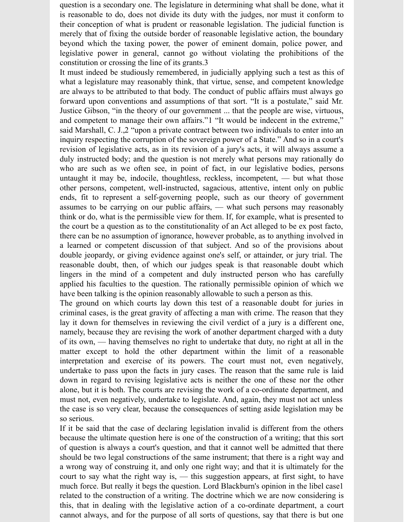question is a secondary one. The legislature in determining what shall be done, what it is reasonable to do, does not divide its duty with the judges, nor must it conform to their conception of what is prudent or reasonable legislation. The judicial function is merely that of fixing the outside border of reasonable legislative action, the boundary beyond which the taxing power, the power of eminent domain, police power, and legislative power in general, cannot go without violating the prohibitions of the constitution or crossing the line of its grants[.3](https://1.next.westlaw.com/Document/If899a5466b1411de9b8c850332338889/View/FullText.html?transitionType=UniqueDocItem&contextData=(sc.Default)&userEnteredCitation=7+Harv+l+rev+129#co_footnote_F3XXg345395632)

It must indeed be studiously remembered, in judicially applying such a test as this of what a legislature may reasonably think, that virtue, sense, and competent knowledge are always to be attributed to that body. The conduct of public affairs must always go forward upon conventions and assumptions of that sort. "It is a postulate," said Mr. Justice Gibson, "in the theory of our government ... that the people are wise, virtuous, and competent to manage their own affairs.["1](https://1.next.westlaw.com/Document/If899a5466b1411de9b8c850332338889/View/FullText.html?transitionType=UniqueDocItem&contextData=(sc.Default)&userEnteredCitation=7+Harv+l+rev+129#co_footnote_F1XXr345395632) "It would be indecent in the extreme," said Marshall, C. J.[,2](https://1.next.westlaw.com/Document/If899a5466b1411de9b8c850332338889/View/FullText.html?transitionType=UniqueDocItem&contextData=(sc.Default)&userEnteredCitation=7+Harv+l+rev+129#co_footnote_F2XXj345395632) "upon a private contract between two individuals to enter into an inquiry respecting the corruption of the sovereign power of a State." And so in a court's revision of legislative acts, as in its revision of a jury's acts, it will always assume a duly instructed body; and the question is not merely what persons may rationally do who are such as we often see, in point of fact, in our legislative bodies, persons untaught it may be, indocile, thoughtless, reckless, incompetent, — but what those other persons, competent, well-instructed, sagacious, attentive, intent only on public ends, fit to represent a self-governing people, such as our theory of government assumes to be carrying on our public affairs, — what such persons may reasonably think or do, what is the permissible view for them. If, for example, what is presented to the court be a question as to the constitutionality of an Act alleged to be ex post facto, there can be no assumption of ignorance, however probable, as to anything involved in a learned or competent discussion of that subject. And so of the provisions about double jeopardy, or giving evidence against one's self, or attainder, or jury trial. The reasonable doubt, then, of which our judges speak is that reasonable doubt which lingers in the mind of a competent and duly instructed person who has carefully applied his faculties to the question. The rationally permissible opinion of which we have been talking is the opinion reasonably allowable to such a person as this.

The ground on which courts lay down this test of a reasonable doubt for juries in criminal cases, is the great gravity of affecting a man with crime. The reason that they lay it down for themselves in reviewing the civil verdict of a jury is a different one, namely, because they are revising the work of another department charged with a duty of its own, — having themselves no right to undertake that duty, no right at all in the matter except to hold the other department within the limit of a reasonable interpretation and exercise of its powers. The court must not, even negatively, undertake to pass upon the facts in jury cases. The reason that the same rule is laid down in regard to revising legislative acts is neither the one of these nor the other alone, but it is both. The courts are revising the work of a co-ordinate department, and must not, even negatively, undertake to legislate. And, again, they must not act unless the case is so very clear, because the consequences of setting aside legislation may be so serious.

If it be said that the case of declaring legislation invalid is different from the others because the ultimate question here is one of the construction of a writing; that this sort of question is always a court's question, and that it cannot well be admitted that there should be two legal constructions of the same instrument; that there is a right way and a wrong way of construing it, and only one right way; and that it is ultimately for the court to say what the right way is, — this suggestion appears, at first sight, to have much force. But really it begs the question. Lord Blackburn's opinion in the libel case[1](https://1.next.westlaw.com/Document/If899a5466b1411de9b8c850332338889/View/FullText.html?transitionType=UniqueDocItem&contextData=(sc.Default)&userEnteredCitation=7+Harv+l+rev+129#co_footnote_F1XXs345395632) related to the construction of a writing. The doctrine which we are now considering is this, that in dealing with the legislative action of a co-ordinate department, a court cannot always, and for the purpose of all sorts of questions, say that there is but one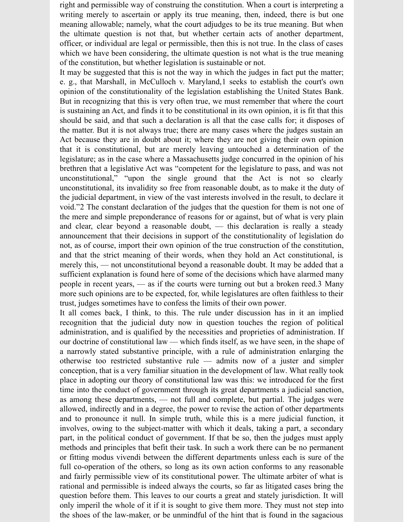right and permissible way of construing the constitution. When a court is interpreting a writing merely to ascertain or apply its true meaning, then, indeed, there is but one meaning allowable; namely, what the court adjudges to be its true meaning. But when the ultimate question is not that, but whether certain acts of another department, officer, or individual are legal or permissible, then this is not true. In the class of cases which we have been considering, the ultimate question is not what is the true meaning of the constitution, but whether legislation is sustainable or not.

It may be suggested that this is not the way in which the judges in fact put the matter; e. g., that Marshall, in McCulloch v. Maryland[,1](https://1.next.westlaw.com/Document/If899a5466b1411de9b8c850332338889/View/FullText.html?transitionType=UniqueDocItem&contextData=(sc.Default)&userEnteredCitation=7+Harv+l+rev+129#co_footnote_F1XXt345395632) seeks to establish the court's own opinion of the constitutionality of the legislation establishing the United States Bank. But in recognizing that this is very often true, we must remember that where the court is sustaining an Act, and finds it to be constitutional in its own opinion, it is fit that this should be said, and that such a declaration is all that the case calls for; it disposes of the matter. But it is not always true; there are many cases where the judges sustain an Act because they are in doubt about it; where they are not giving their own opinion that it is constitutional, but are merely leaving untouched a determination of the legislature; as in the case where a Massachusetts judge concurred in the opinion of his brethren that a legislative Act was "competent for the legislature to pass, and was not unconstitutional," "upon the single ground that the Act is not so clearly unconstitutional, its invalidity so free from reasonable doubt, as to make it the duty of the judicial department, in view of the vast interests involved in the result, to declare it void."[2](https://1.next.westlaw.com/Document/If899a5466b1411de9b8c850332338889/View/FullText.html?transitionType=UniqueDocItem&contextData=(sc.Default)&userEnteredCitation=7+Harv+l+rev+129#co_footnote_F2XXk345395632) The constant declaration of the judges that the question for them is not one of the mere and simple preponderance of reasons for or against, but of what is very plain and clear, clear beyond a reasonable doubt, — this declaration is really a steady announcement that their decisions in support of the constitutionality of legislation do not, as of course, import their own opinion of the true construction of the constitution, and that the strict meaning of their words, when they hold an Act constitutional, is merely this, — not unconstitutional beyond a reasonable doubt. It may be added that a sufficient explanation is found here of some of the decisions which have alarmed many people in recent years, — as if the courts were turning out but a broken reed[.3](https://1.next.westlaw.com/Document/If899a5466b1411de9b8c850332338889/View/FullText.html?transitionType=UniqueDocItem&contextData=(sc.Default)&userEnteredCitation=7+Harv+l+rev+129#co_footnote_F3XXh345395632) Many more such opinions are to be expected, for, while legislatures are often faithless to their trust, judges sometimes have to confess the limits of their own power.

It all comes back, I think, to this. The rule under discussion has in it an implied recognition that the judicial duty now in question touches the region of political administration, and is qualified by the necessities and proprieties of administration. If our doctrine of constitutional law — which finds itself, as we have seen, in the shape of a narrowly stated substantive principle, with a rule of administration enlarging the otherwise too restricted substantive rule — admits now of a juster and simpler conception, that is a very familiar situation in the development of law. What really took place in adopting our theory of constitutional law was this: we introduced for the first time into the conduct of government through its great departments a judicial sanction, as among these departments, — not full and complete, but partial. The judges were allowed, indirectly and in a degree, the power to revise the action of other departments and to pronounce it null. In simple truth, while this is a mere judicial function, it involves, owing to the subject-matter with which it deals, taking a part, a secondary part, in the political conduct of government. If that be so, then the judges must apply methods and principles that befit their task. In such a work there can be no permanent or fitting modus vivendi between the different departments unless each is sure of the full co-operation of the others, so long as its own action conforms to any reasonable and fairly permissible view of its constitutional power. The ultimate arbiter of what is rational and permissible is indeed always the courts, so far as litigated cases bring the question before them. This leaves to our courts a great and stately jurisdiction. It will only imperil the whole of it if it is sought to give them more. They must not step into the shoes of the law-maker, or be unmindful of the hint that is found in the sagacious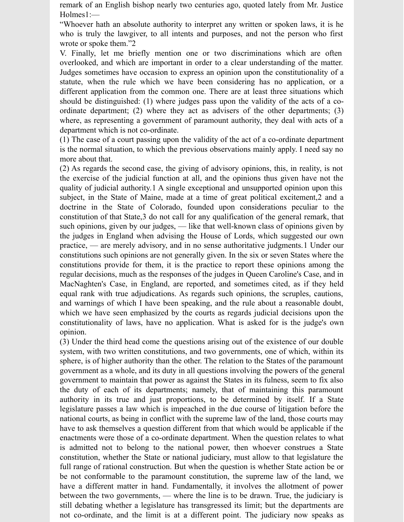remark of an English bishop nearly two centuries ago, quoted lately from Mr. Justice Holmes[1](https://1.next.westlaw.com/Document/If899a5466b1411de9b8c850332338889/View/FullText.html?transitionType=UniqueDocItem&contextData=(sc.Default)&userEnteredCitation=7+Harv+l+rev+129#co_footnote_F1XXu345395632):—

"Whoever hath an absolute authority to interpret any written or spoken laws, it is he who is truly the lawgiver, to all intents and purposes, and not the person who first wrote or spoke them."[2](https://1.next.westlaw.com/Document/If899a5466b1411de9b8c850332338889/View/FullText.html?transitionType=UniqueDocItem&contextData=(sc.Default)&userEnteredCitation=7+Harv+l+rev+129#co_footnote_F2XXl345395632)

V. Finally, let me briefly mention one or two discriminations which are often overlooked, and which are important in order to a clear understanding of the matter. Judges sometimes have occasion to express an opinion upon the constitutionality of a statute, when the rule which we have been considering has no application, or a different application from the common one. There are at least three situations which should be distinguished: (1) where judges pass upon the validity of the acts of a coordinate department; (2) where they act as advisers of the other departments; (3) where, as representing a government of paramount authority, they deal with acts of a department which is not co-ordinate.

(1) The case of a court passing upon the validity of the act of a co-ordinate department is the normal situation, to which the previous observations mainly apply. I need say no more about that.

(2) As regards the second case, the giving of advisory opinions, this, in reality, is not the exercise of the judicial function at all, and the opinions thus given have not the quality of judicial authority.[1](https://1.next.westlaw.com/Document/If899a5466b1411de9b8c850332338889/View/FullText.html?transitionType=UniqueDocItem&contextData=(sc.Default)&userEnteredCitation=7+Harv+l+rev+129#co_footnote_F1XXv345395632) A single exceptional and unsupported opinion upon this subject, in the State of Maine, made at a time of great political excitement[,2](https://1.next.westlaw.com/Document/If899a5466b1411de9b8c850332338889/View/FullText.html?transitionType=UniqueDocItem&contextData=(sc.Default)&userEnteredCitation=7+Harv+l+rev+129#co_footnote_F2XXm345395632) and a doctrine in the State of Colorado, founded upon considerations peculiar to the constitution of that State[,3](https://1.next.westlaw.com/Document/If899a5466b1411de9b8c850332338889/View/FullText.html?transitionType=UniqueDocItem&contextData=(sc.Default)&userEnteredCitation=7+Harv+l+rev+129#co_footnote_F3XXi345395632) do not call for any qualification of the general remark, that such opinions, given by our judges, — like that well-known class of opinions given by the judges in England when advising the House of Lords, which suggested our own practice, — are merely advisory, and in no sense authoritative judgments.[1](https://1.next.westlaw.com/Document/If899a5466b1411de9b8c850332338889/View/FullText.html?transitionType=UniqueDocItem&contextData=(sc.Default)&userEnteredCitation=7+Harv+l+rev+129#co_footnote_F1XXw345395632) Under our constitutions such opinions are not generally given. In the six or seven States where the constitutions provide for them, it is the practice to report these opinions among the regular decisions, much as the responses of the judges in Queen Caroline's Case, and in MacNaghten's Case, in England, are reported, and sometimes cited, as if they held equal rank with true adjudications. As regards such opinions, the scruples, cautions, and warnings of which I have been speaking, and the rule about a reasonable doubt, which we have seen emphasized by the courts as regards judicial decisions upon the constitutionality of laws, have no application. What is asked for is the judge's own opinion.

(3) Under the third head come the questions arising out of the existence of our double system, with two written constitutions, and two governments, one of which, within its sphere, is of higher authority than the other. The relation to the States of the paramount government as a whole, and its duty in all questions involving the powers of the general government to maintain that power as against the States in its fulness, seem to fix also the duty of each of its departments; namely, that of maintaining this paramount authority in its true and just proportions, to be determined by itself. If a State legislature passes a law which is impeached in the due course of litigation before the national courts, as being in conflict with the supreme law of the land, those courts may have to ask themselves a question different from that which would be applicable if the enactments were those of a co-ordinate department. When the question relates to what is admitted not to belong to the national power, then whoever construes a State constitution, whether the State or national judiciary, must allow to that legislature the full range of rational construction. But when the question is whether State action be or be not conformable to the paramount constitution, the supreme law of the land, we have a different matter in hand. Fundamentally, it involves the allotment of power between the two governments, — where the line is to be drawn. True, the judiciary is still debating whether a legislature has transgressed its limit; but the departments are not co-ordinate, and the limit is at a different point. The judiciary now speaks as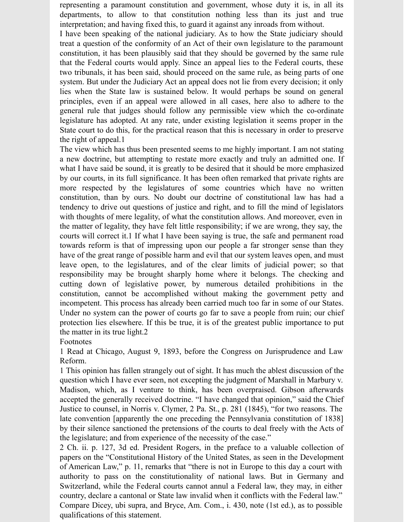representing a paramount constitution and government, whose duty it is, in all its departments, to allow to that constitution nothing less than its just and true interpretation; and having fixed this, to guard it against any inroads from without.

I have been speaking of the national judiciary. As to how the State judiciary should treat a question of the conformity of an Act of their own legislature to the paramount constitution, it has been plausibly said that they should be governed by the same rule that the Federal courts would apply. Since an appeal lies to the Federal courts, these two tribunals, it has been said, should proceed on the same rule, as being parts of one system. But under the Judiciary Act an appeal does not lie from every decision; it only lies when the State law is sustained below. It would perhaps be sound on general principles, even if an appeal were allowed in all cases, here also to adhere to the general rule that judges should follow any permissible view which the co-ordinate legislature has adopted. At any rate, under existing legislation it seems proper in the State court to do this, for the practical reason that this is necessary in order to preserve the right of appeal[.1](https://1.next.westlaw.com/Document/If899a5466b1411de9b8c850332338889/View/FullText.html?transitionType=UniqueDocItem&contextData=(sc.Default)&userEnteredCitation=7+Harv+l+rev+129#co_footnote_F1XXx345395632)

The view which has thus been presented seems to me highly important. I am not stating a new doctrine, but attempting to restate more exactly and truly an admitted one. If what I have said be sound, it is greatly to be desired that it should be more emphasized by our courts, in its full significance. It has been often remarked that private rights are more respected by the legislatures of some countries which have no written constitution, than by ours. No doubt our doctrine of constitutional law has had a tendency to drive out questions of justice and right, and to fill the mind of legislators with thoughts of mere legality, of what the constitution allows. And moreover, even in the matter of legality, they have felt little responsibility; if we are wrong, they say, the courts will correct it[.1](https://1.next.westlaw.com/Document/If899a5466b1411de9b8c850332338889/View/FullText.html?transitionType=UniqueDocItem&contextData=(sc.Default)&userEnteredCitation=7+Harv+l+rev+129#co_footnote_F1XXy345395632) If what I have been saying is true, the safe and permanent road towards reform is that of impressing upon our people a far stronger sense than they have of the great range of possible harm and evil that our system leaves open, and must leave open, to the legislatures, and of the clear limits of judicial power; so that responsibility may be brought sharply home where it belongs. The checking and cutting down of legislative power, by numerous detailed prohibitions in the constitution, cannot be accomplished without making the government petty and incompetent. This process has already been carried much too far in some of our States. Under no system can the power of courts go far to save a people from ruin; our chief protection lies elsewhere. If this be true, it is of the greatest public importance to put the matter in its true light[.2](https://1.next.westlaw.com/Document/If899a5466b1411de9b8c850332338889/View/FullText.html?transitionType=UniqueDocItem&contextData=(sc.Default)&userEnteredCitation=7+Harv+l+rev+129#co_footnote_F2XXn345395632)

Footnotes

[1](https://1.next.westlaw.com/Document/If899a5466b1411de9b8c850332338889/View/FullText.html?transitionType=UniqueDocItem&contextData=(sc.Default)&userEnteredCitation=7+Harv+l+rev+129#co_fnRef_F1345395632_ID0EMHAC) Read at Chicago, August 9, 1893, before the Congress on Jurisprudence and Law Reform.

[1](https://1.next.westlaw.com/Document/If899a5466b1411de9b8c850332338889/View/FullText.html?transitionType=UniqueDocItem&contextData=(sc.Default)&userEnteredCitation=7+Harv+l+rev+129#co_fnRef_F1XXa345395632_ID0ESKAC) This opinion has fallen strangely out of sight. It has much the ablest discussion of the question which I have ever seen, not excepting the judgment of Marshall in Marbury v. Madison, which, as I venture to think, has been overpraised. Gibson afterwards accepted the generally received doctrine. "I have changed that opinion," said the Chief Justice to counsel, in Norris v. Clymer, 2 Pa. St., p. 281 (1845), "for two reasons. The late convention [apparently the one preceding the Pennsylvania constitution of 1838] by their silence sanctioned the pretensions of the courts to deal freely with the Acts of the legislature; and from experience of the necessity of the case."

[2](https://1.next.westlaw.com/Document/If899a5466b1411de9b8c850332338889/View/FullText.html?transitionType=UniqueDocItem&contextData=(sc.Default)&userEnteredCitation=7+Harv+l+rev+129#co_fnRef_F2345395632_ID0EVLAC) Ch. ii. p. 127, 3d ed. President Rogers, in the preface to a valuable collection of papers on the "Constitutional History of the United States, as seen in the Development of American Law," p. 11, remarks that "there is not in Europe to this day a court with authority to pass on the constitutionality of national laws. But in Germany and Switzerland, while the Federal courts cannot annul a Federal law, they may, in either country, declare a cantonal or State law invalid when it conflicts with the Federal law." Compare Dicey, ubi supra, and Bryce, Am. Com., i. 430, note (1st ed.), as to possible qualifications of this statement.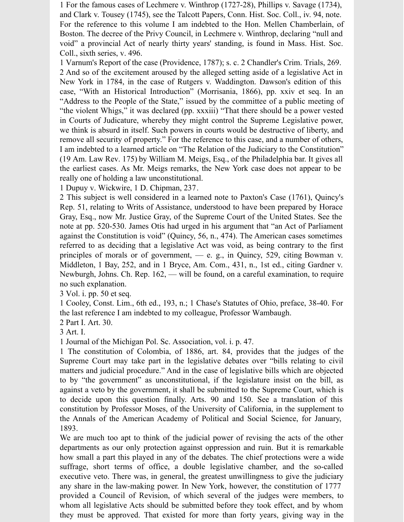[1](https://1.next.westlaw.com/Document/If899a5466b1411de9b8c850332338889/View/FullText.html?transitionType=UniqueDocItem&contextData=(sc.Default)&userEnteredCitation=7+Harv+l+rev+129#co_fnRef_F1XXb345395632_ID0E6MAC) For the famous cases of Lechmere v. Winthrop (1727-28), Phillips v. Savage (1734), and Clark v. Tousey (1745), see the Talcott Papers, Conn. Hist. Soc. Coll., iv. 94, note. For the reference to this volume I am indebted to the Hon. Mellen Chamberlain, of Boston. The decree of the Privy Council, in Lechmere v. Winthrop, declaring "null and void" a provincial Act of nearly thirty years' standing, is found in Mass. Hist. Soc. Coll., sixth series, v. 496.

[1](https://1.next.westlaw.com/Document/If899a5466b1411de9b8c850332338889/View/FullText.html?transitionType=UniqueDocItem&contextData=(sc.Default)&userEnteredCitation=7+Harv+l+rev+129#co_fnRef_F1XXc345395632_ID0ENPAC) Varnum's Report of the case (Providence, 1787); s. c. 2 Chandler's Crim. Trials, 269. [2](https://1.next.westlaw.com/Document/If899a5466b1411de9b8c850332338889/View/FullText.html?transitionType=UniqueDocItem&contextData=(sc.Default)&userEnteredCitation=7+Harv+l+rev+129#co_fnRef_F2XXa345395632_ID0EFAAE) And so of the excitement aroused by the alleged setting aside of a legislative Act in New York in 1784, in the case of Rutgers v. Waddington. Dawson's edition of this case, "With an Historical Introduction" (Morrisania, 1866), pp. xxiv et seq. In an "Address to the People of the State," issued by the committee of a public meeting of "the violent Whigs," it was declared (pp. xxxiii) "That there should be a power vested in Courts of Judicature, whereby they might control the Supreme Legislative power, we think is absurd in itself. Such powers in courts would be destructive of liberty, and remove all security of property." For the reference to this case, and a number of others, I am indebted to a learned article on "The Relation of the Judiciary to the Constitution" (19 Am. Law [Rev.](https://1.next.westlaw.com/Link/Document/FullText?findType=Y&pubNum=3237&cite=19AMERLAWREV175&originatingDoc=If899a5466b1411de9b8c850332338889&refType=RP&originationContext=document&transitionType=DocumentItem&ppcid=077cb390a3d445f7b3137849036c3585&contextData=(sc.UserEnteredCitation)) 175) by William M. Meigs, Esq., of the Philadelphia bar. It gives all the earliest cases. As Mr. Meigs remarks, the New York case does not appear to be really one of holding a law unconstitutional.

[1](https://1.next.westlaw.com/Document/If899a5466b1411de9b8c850332338889/View/FullText.html?transitionType=UniqueDocItem&contextData=(sc.Default)&userEnteredCitation=7+Harv+l+rev+129#co_fnRef_F1XXd345395632_ID0EUBAE) Dupuy v. [Wickwire,](https://1.next.westlaw.com/Link/Document/FullText?findType=Y&serNum=1814027700&pubNum=2302&originatingDoc=If899a5466b1411de9b8c850332338889&refType=RP&originationContext=document&transitionType=DocumentItem&ppcid=077cb390a3d445f7b3137849036c3585&contextData=(sc.UserEnteredCitation)) 1 D. Chipman, 237.

[2](https://1.next.westlaw.com/Document/If899a5466b1411de9b8c850332338889/View/FullText.html?transitionType=UniqueDocItem&contextData=(sc.Default)&userEnteredCitation=7+Harv+l+rev+129#co_fnRef_F2XXb345395632_ID0EKCAE) This subject is well considered in a learned note to Paxton's Case (1761), Quincy's Rep. 51, relating to Writs of Assistance, understood to have been prepared by Horace Gray, Esq., now Mr. Justice Gray, of the Supreme Court of the United States. See the note at pp. 520-530. James Otis had urged in his argument that "an Act of Parliament against the Constitution is void" (Quincy, 56, n., 474). The American cases sometimes referred to as deciding that a legislative Act was void, as being contrary to the first principles of morals or of [government,](https://1.next.westlaw.com/Link/Document/FullText?findType=Y&serNum=1792042819&pubNum=2173&originatingDoc=If899a5466b1411de9b8c850332338889&refType=RP&originationContext=document&transitionType=DocumentItem&ppcid=077cb390a3d445f7b3137849036c3585&contextData=(sc.UserEnteredCitation))  $-$  e. g., in Quincy, 529, citing Bowman v. Middleton, 1 Bay, 252, and in 1 Bryce, Am. Com., 431, n., 1st ed., citing Gardner v. Newburgh, Johns. Ch. Rep. 162, — will be found, on a careful examination, to require no such explanation.

[3](https://1.next.westlaw.com/Document/If899a5466b1411de9b8c850332338889/View/FullText.html?transitionType=UniqueDocItem&contextData=(sc.Default)&userEnteredCitation=7+Harv+l+rev+129#co_fnRef_F3345395632_ID0EADAE) Vol. i. pp. 50 et seq.

[1](https://1.next.westlaw.com/Document/If899a5466b1411de9b8c850332338889/View/FullText.html?transitionType=UniqueDocItem&contextData=(sc.Default)&userEnteredCitation=7+Harv+l+rev+129#co_fnRef_F1XXe345395632_ID0EGEAE) Cooley, Const. Lim., 6th ed., 193, n.; 1 Chase's Statutes of Ohio, preface, 38-40. For the last reference I am indebted to my colleague, Professor Wambaugh.

[2](https://1.next.westlaw.com/Document/If899a5466b1411de9b8c850332338889/View/FullText.html?transitionType=UniqueDocItem&contextData=(sc.Default)&userEnteredCitation=7+Harv+l+rev+129#co_fnRef_F2XXc345395632_ID0E3EAE) Part I. Art. 30.

[3](https://1.next.westlaw.com/Document/If899a5466b1411de9b8c850332338889/View/FullText.html?transitionType=UniqueDocItem&contextData=(sc.Default)&userEnteredCitation=7+Harv+l+rev+129#co_fnRef_F3XXa345395632_ID0E5FAE) Art. I.

[1](https://1.next.westlaw.com/Document/If899a5466b1411de9b8c850332338889/View/FullText.html?transitionType=UniqueDocItem&contextData=(sc.Default)&userEnteredCitation=7+Harv+l+rev+129#co_fnRef_F1XXf345395632_ID0EOHAE) Journal of the Michigan Pol. Sc. Association, vol. i. p. 47.

[1](https://1.next.westlaw.com/Document/If899a5466b1411de9b8c850332338889/View/FullText.html?transitionType=UniqueDocItem&contextData=(sc.Default)&userEnteredCitation=7+Harv+l+rev+129#co_fnRef_F1XXg345395632_ID0EQLAE) The constitution of Colombia, of 1886, art. 84, provides that the judges of the Supreme Court may take part in the legislative debates over "bills relating to civil matters and judicial procedure." And in the case of legislative bills which are objected to by "the government" as unconstitutional, if the legislature insist on the bill, as against a veto by the government, it shall be submitted to the Supreme Court, which is to decide upon this question finally. Arts. 90 and 150. See a translation of this constitution by Professor Moses, of the University of California, in the supplement to the Annals of the American Academy of Political and Social Science, for January, 1893.

We are much too apt to think of the judicial power of revising the acts of the other departments as our only protection against oppression and ruin. But it is remarkable how small a part this played in any of the debates. The chief protections were a wide suffrage, short terms of office, a double legislative chamber, and the so-called executive veto. There was, in general, the greatest unwillingness to give the judiciary any share in the law-making power. In New York, however, the constitution of 1777 provided a Council of Revision, of which several of the judges were members, to whom all legislative Acts should be submitted before they took effect, and by whom they must be approved. That existed for more than forty years, giving way in the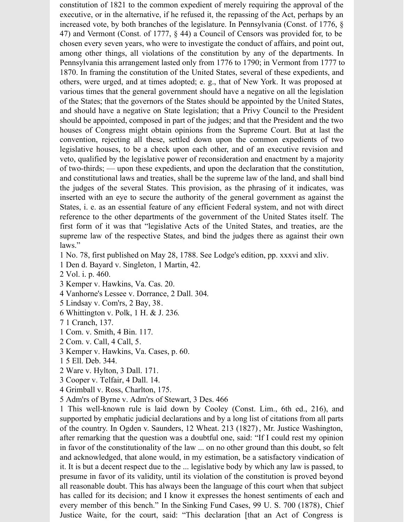constitution of 1821 to the common expedient of merely requiring the approval of the executive, or in the alternative, if he refused it, the repassing of the Act, perhaps by an increased vote, by both branches of the legislature. In Pennsylvania (Const. of 1776, § 47) and Vermont (Const. of 1777, § 44) a Council of Censors was provided for, to be chosen every seven years, who were to investigate the conduct of affairs, and point out, among other things, all violations of the constitution by any of the departments. In Pennsylvania this arrangement lasted only from 1776 to 1790; in Vermont from 1777 to 1870. In framing the constitution of the United States, several of these expedients, and others, were urged, and at times adopted; e. g., that of New York. It was proposed at various times that the general government should have a negative on all the legislation of the States; that the governors of the States should be appointed by the United States, and should have a negative on State legislation; that a Privy Council to the President should be appointed, composed in part of the judges; and that the President and the two houses of Congress might obtain opinions from the Supreme Court. But at last the convention, rejecting all these, settled down upon the common expedients of two legislative houses, to be a check upon each other, and of an executive revision and veto, qualified by the legislative power of reconsideration and enactment by a majority of two-thirds; — upon these expedients, and upon the declaration that the constitution, and constitutional laws and treaties, shall be the supreme law of the land, and shall bind the judges of the several States. This provision, as the phrasing of it indicates, was inserted with an eye to secure the authority of the general government as against the States, i. e. as an essential feature of any efficient Federal system, and not with direct reference to the other departments of the government of the United States itself. The first form of it was that "legislative Acts of the United States, and treaties, are the supreme law of the respective States, and bind the judges there as against their own laws."

[1](https://1.next.westlaw.com/Document/If899a5466b1411de9b8c850332338889/View/FullText.html?transitionType=UniqueDocItem&contextData=(sc.Default)&userEnteredCitation=7+Harv+l+rev+129#co_fnRef_F1XXh345395632_ID0E1OAE) No. 78, first published on May 28, 1788. See Lodge's edition, pp. xxxvi and xliv.

[1](https://1.next.westlaw.com/Document/If899a5466b1411de9b8c850332338889/View/FullText.html?transitionType=UniqueDocItem&contextData=(sc.Default)&userEnteredCitation=7+Harv+l+rev+129#co_fnRef_F1XXi345395632_ID0EFPAE) Den d. Bayard v. Singleton, 1 Martin, 42.

[2](https://1.next.westlaw.com/Document/If899a5466b1411de9b8c850332338889/View/FullText.html?transitionType=UniqueDocItem&contextData=(sc.Default)&userEnteredCitation=7+Harv+l+rev+129#co_fnRef_F2XXd345395632_ID0ELPAE) Vol. i. p. 460.

[3](https://1.next.westlaw.com/Document/If899a5466b1411de9b8c850332338889/View/FullText.html?transitionType=UniqueDocItem&contextData=(sc.Default)&userEnteredCitation=7+Harv+l+rev+129#co_fnRef_F3XXb345395632_ID0ETPAE) Kemper v. Hawkins, Va. Cas. 20.

[4](https://1.next.westlaw.com/Document/If899a5466b1411de9b8c850332338889/View/FullText.html?transitionType=UniqueDocItem&contextData=(sc.Default)&userEnteredCitation=7+Harv+l+rev+129#co_fnRef_F4345395632_ID0EWPAE) [Vanhorne's](https://1.next.westlaw.com/Link/Document/FullText?findType=Y&serNum=1700138310&pubNum=780&originatingDoc=If899a5466b1411de9b8c850332338889&refType=RP&originationContext=document&transitionType=DocumentItem&ppcid=077cb390a3d445f7b3137849036c3585&contextData=(sc.UserEnteredCitation)) Lessee v. Dorrance, 2 Dall. 304.

[5](https://1.next.westlaw.com/Document/If899a5466b1411de9b8c850332338889/View/FullText.html?transitionType=UniqueDocItem&contextData=(sc.Default)&userEnteredCitation=7+Harv+l+rev+129#co_fnRef_F5345395632_ID0E3PAE) [Lindsay](https://1.next.westlaw.com/Link/Document/FullText?findType=Y&serNum=1796019621&pubNum=2173&originatingDoc=If899a5466b1411de9b8c850332338889&refType=RP&originationContext=document&transitionType=DocumentItem&ppcid=077cb390a3d445f7b3137849036c3585&contextData=(sc.UserEnteredCitation)) v. Com'rs, 2 Bay, 38.

[6](https://1.next.westlaw.com/Document/If899a5466b1411de9b8c850332338889/View/FullText.html?transitionType=UniqueDocItem&contextData=(sc.Default)&userEnteredCitation=7+Harv+l+rev+129#co_fnRef_F6345395632_ID0EEQAE) [Whittington](https://1.next.westlaw.com/Link/Document/FullText?findType=Y&serNum=1802019916&pubNum=384&originatingDoc=If899a5466b1411de9b8c850332338889&refType=RP&originationContext=document&transitionType=DocumentItem&ppcid=077cb390a3d445f7b3137849036c3585&contextData=(sc.UserEnteredCitation)) v. Polk, 1 H. & J. 236.

[7](https://1.next.westlaw.com/Document/If899a5466b1411de9b8c850332338889/View/FullText.html?transitionType=UniqueDocItem&contextData=(sc.Default)&userEnteredCitation=7+Harv+l+rev+129#co_fnRef_F7345395632_ID0EJQAE) 1 [Cranch,](https://1.next.westlaw.com/Link/Document/FullText?findType=Y&serNum=1801123932&pubNum=780&originatingDoc=If899a5466b1411de9b8c850332338889&refType=RP&originationContext=document&transitionType=DocumentItem&ppcid=077cb390a3d445f7b3137849036c3585&contextData=(sc.UserEnteredCitation)) 137.

[1](https://1.next.westlaw.com/Document/If899a5466b1411de9b8c850332338889/View/FullText.html?transitionType=UniqueDocItem&contextData=(sc.Default)&userEnteredCitation=7+Harv+l+rev+129#co_fnRef_F1XXj345395632_ID0EYRAE) Com. v. [Smith,](https://1.next.westlaw.com/Link/Document/FullText?findType=Y&serNum=1811029764&pubNum=179&originatingDoc=If899a5466b1411de9b8c850332338889&refType=RP&originationContext=document&transitionType=DocumentItem&ppcid=077cb390a3d445f7b3137849036c3585&contextData=(sc.UserEnteredCitation)) 4 Bin. 117.

[2](https://1.next.westlaw.com/Document/If899a5466b1411de9b8c850332338889/View/FullText.html?transitionType=UniqueDocItem&contextData=(sc.Default)&userEnteredCitation=7+Harv+l+rev+129#co_fnRef_F2XXe345395632_ID0EFTAE) [Com.](https://1.next.westlaw.com/Link/Document/FullText?findType=Y&serNum=1782017473&pubNum=235&originatingDoc=If899a5466b1411de9b8c850332338889&refType=RP&originationContext=document&transitionType=DocumentItem&ppcid=077cb390a3d445f7b3137849036c3585&contextData=(sc.UserEnteredCitation)) v. Call, 4 Call, 5.

[3](https://1.next.westlaw.com/Document/If899a5466b1411de9b8c850332338889/View/FullText.html?transitionType=UniqueDocItem&contextData=(sc.Default)&userEnteredCitation=7+Harv+l+rev+129#co_fnRef_F3XXc345395632_ID0ENUAE) Kemper v. Hawkins, Va. Cases, p. 60.

- [1](https://1.next.westlaw.com/Document/If899a5466b1411de9b8c850332338889/View/FullText.html?transitionType=UniqueDocItem&contextData=(sc.Default)&userEnteredCitation=7+Harv+l+rev+129#co_fnRef_F1XXk345395632_ID0ECWAE) 5 Ell. Deb. 344.
- [2](https://1.next.westlaw.com/Document/If899a5466b1411de9b8c850332338889/View/FullText.html?transitionType=UniqueDocItem&contextData=(sc.Default)&userEnteredCitation=7+Harv+l+rev+129#co_fnRef_F2XXf345395632_ID0EFWAE) Ware v. [Hylton,](https://1.next.westlaw.com/Link/Document/FullText?findType=Y&serNum=1700120091&pubNum=780&originatingDoc=If899a5466b1411de9b8c850332338889&refType=RP&originationContext=document&transitionType=DocumentItem&ppcid=077cb390a3d445f7b3137849036c3585&contextData=(sc.UserEnteredCitation)) 3 Dall. 171.

[3](https://1.next.westlaw.com/Document/If899a5466b1411de9b8c850332338889/View/FullText.html?transitionType=UniqueDocItem&contextData=(sc.Default)&userEnteredCitation=7+Harv+l+rev+129#co_fnRef_F3XXd345395632_ID0EUWAE) Cooper v. [Telfair,](https://1.next.westlaw.com/Link/Document/FullText?findType=Y&serNum=1800149858&pubNum=780&originatingDoc=If899a5466b1411de9b8c850332338889&refType=RP&originationContext=document&transitionType=DocumentItem&ppcid=077cb390a3d445f7b3137849036c3585&contextData=(sc.UserEnteredCitation)) 4 Dall. 14.

[4](https://1.next.westlaw.com/Document/If899a5466b1411de9b8c850332338889/View/FullText.html?transitionType=UniqueDocItem&contextData=(sc.Default)&userEnteredCitation=7+Harv+l+rev+129#co_fnRef_F4XXa345395632_ID0ELXAE) Grimball v. Ross, Charlton, 175.

[5](https://1.next.westlaw.com/Document/If899a5466b1411de9b8c850332338889/View/FullText.html?transitionType=UniqueDocItem&contextData=(sc.Default)&userEnteredCitation=7+Harv+l+rev+129#co_fnRef_F5XXa345395632_ID0ECZAE) Adm'rs of Byrne v. Adm'rs of [Stewart,](https://1.next.westlaw.com/Link/Document/FullText?findType=Y&serNum=1812026641&pubNum=2323&originatingDoc=If899a5466b1411de9b8c850332338889&refType=RP&originationContext=document&transitionType=DocumentItem&ppcid=077cb390a3d445f7b3137849036c3585&contextData=(sc.UserEnteredCitation)) 3 Des. 466

[1](https://1.next.westlaw.com/Document/If899a5466b1411de9b8c850332338889/View/FullText.html?transitionType=UniqueDocItem&contextData=(sc.Default)&userEnteredCitation=7+Harv+l+rev+129#co_fnRef_F1XXl345395632_ID0E11AE) This well-known rule is laid down by Cooley (Const. Lim., 6th ed., 216), and supported by emphatic judicial declarations and by a long list of citations from all parts of the country. In Ogden v. [Saunders,](https://1.next.westlaw.com/Link/Document/FullText?findType=Y&serNum=1800126698&pubNum=780&originatingDoc=If899a5466b1411de9b8c850332338889&refType=RP&originationContext=document&transitionType=DocumentItem&ppcid=077cb390a3d445f7b3137849036c3585&contextData=(sc.UserEnteredCitation)) 12 Wheat. 213 (1827), Mr. Justice Washington, after remarking that the question was a doubtful one, said: "If I could rest my opinion in favor of the constitutionality of the law ... on no other ground than this doubt, so felt and acknowledged, that alone would, in my estimation, be a satisfactory vindication of it. It is but a decent respect due to the ... legislative body by which any law is passed, to presume in favor of its validity, until its violation of the constitution is proved beyond all reasonable doubt. This has always been the language of this court when that subject has called for its decision; and I know it expresses the honest sentiments of each and every member of this bench." In the [Sinking](https://1.next.westlaw.com/Link/Document/FullText?findType=Y&serNum=1801103259&pubNum=780&originatingDoc=If899a5466b1411de9b8c850332338889&refType=RP&originationContext=document&transitionType=DocumentItem&ppcid=077cb390a3d445f7b3137849036c3585&contextData=(sc.UserEnteredCitation)) Fund Cases, 99 U. S. 700 (1878), Chief Justice Waite, for the court, said: "This declaration [that an Act of Congress is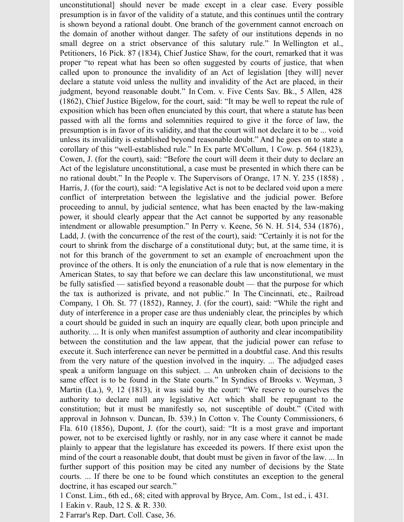unconstitutional] should never be made except in a clear case. Every possible presumption is in favor of the validity of a statute, and this continues until the contrary is shown beyond a rational doubt. One branch of the government cannot encroach on the domain of another without danger. The safety of our institutions depends in no small degree on a strict [observance](https://1.next.westlaw.com/Link/Document/FullText?findType=Y&serNum=1834004685&pubNum=2679&originatingDoc=If899a5466b1411de9b8c850332338889&refType=RP&originationContext=document&transitionType=DocumentItem&ppcid=077cb390a3d445f7b3137849036c3585&contextData=(sc.UserEnteredCitation)) of this salutary rule." In Wellington et al., Petitioners, 16 Pick. 87 (1834), Chief Justice Shaw, for the court, remarked that it was proper "to repeat what has been so often suggested by courts of justice, that when called upon to pronounce the invalidity of an Act of legislation [they will] never declare a statute void unless the nullity and invalidity of the Act are placed, in their judgment, beyond [reasonable](https://1.next.westlaw.com/Link/Document/FullText?findType=Y&serNum=1862009653&pubNum=2129&originatingDoc=If899a5466b1411de9b8c850332338889&refType=RP&originationContext=document&transitionType=DocumentItem&ppcid=077cb390a3d445f7b3137849036c3585&contextData=(sc.UserEnteredCitation)) doubt." In Com. v. Five Cents Sav. Bk., 5 Allen, 428 (1862), Chief Justice Bigelow, for the court, said: "It may be well to repeat the rule of exposition which has been often enunciated by this court, that where a statute has been passed with all the forms and solemnities required to give it the force of law, the presumption is in favor of its validity, and that the court will not declare it to be ... void unless its invalidity is established beyond reasonable doubt." And he goes on to state a corollary of this "well-established rule." In Ex parte M'Collum, 1 Cow. p. 564 (1823), Cowen, J. (for the court), said: "Before the court will deem it their duty to declare an Act of the legislature unconstitutional, a case must be presented in which there can be no rational doubt." In the People v. The [Supervisors](https://1.next.westlaw.com/Link/Document/FullText?findType=Y&serNum=1858017546&pubNum=596&originatingDoc=If899a5466b1411de9b8c850332338889&refType=RP&originationContext=document&transitionType=DocumentItem&ppcid=077cb390a3d445f7b3137849036c3585&contextData=(sc.UserEnteredCitation)) of Orange, 17 N. Y. 235 (1858) , Harris, J. (for the court), said: "A legislative Act is not to be declared void upon a mere conflict of interpretation between the legislative and the judicial power. Before proceeding to annul, by judicial sentence, what has been enacted by the law-making power, it should clearly appear that the Act cannot be supported by any reasonable intendment or allowable presumption." In Perry v. [Keene,](https://1.next.westlaw.com/Link/Document/FullText?findType=Y&serNum=1876008147&pubNum=579&originatingDoc=If899a5466b1411de9b8c850332338889&refType=RP&fi=co_pp_sp_579_534&originationContext=document&transitionType=DocumentItem&ppcid=077cb390a3d445f7b3137849036c3585&contextData=(sc.UserEnteredCitation)#co_pp_sp_579_534) 56 N. H. 514, 534 (1876) , Ladd, J. (with the concurrence of the rest of the court), said: "Certainly it is not for the court to shrink from the discharge of a constitutional duty; but, at the same time, it is not for this branch of the government to set an example of encroachment upon the province of the others. It is only the enunciation of a rule that is now elementary in the American States, to say that before we can declare this law unconstitutional, we must be fully satisfied — satisfied beyond a reasonable doubt — that the purpose for which the tax is authorized is private, and not public." In The [Cincinnati,](https://1.next.westlaw.com/Link/Document/FullText?findType=Y&serNum=1852000024&pubNum=633&originatingDoc=If899a5466b1411de9b8c850332338889&refType=RP&originationContext=document&transitionType=DocumentItem&ppcid=077cb390a3d445f7b3137849036c3585&contextData=(sc.UserEnteredCitation)) etc., Railroad Company, 1 Oh. St. 77 (1852), Ranney, J. (for the court), said: "While the right and duty of interference in a proper case are thus undeniably clear, the principles by which a court should be guided in such an inquiry are equally clear, both upon principle and authority. ... It is only when manifest assumption of authority and clear incompatibility between the constitution and the law appear, that the judicial power can refuse to execute it. Such interference can never be permitted in a doubtful case. And this results from the very nature of the question involved in the inquiry. ... The adjudged cases speak a uniform language on this subject. ... An unbroken chain of decisions to the same effect is to be found in the State courts." In Syndics of Brooks v. Weyman, 3 Martin (La.), 9, 12 (1813), it was said by the court: "We reserve to ourselves the authority to declare null any legislative Act which shall be repugnant to the constitution; but it must be manifestly so, not susceptible of doubt." (Cited with approval in Johnson v. Duncan, Ib. 539.) In Cotton v. The County [Commissioners,](https://1.next.westlaw.com/Link/Document/FullText?findType=Y&serNum=1856002101&pubNum=353&originatingDoc=If899a5466b1411de9b8c850332338889&refType=RP&originationContext=document&transitionType=DocumentItem&ppcid=077cb390a3d445f7b3137849036c3585&contextData=(sc.UserEnteredCitation)) 6 Fla. 610 (1856), Dupont, J. (for the court), said: "It is a most grave and important power, not to be exercised lightly or rashly, nor in any case where it cannot be made plainly to appear that the legislature has exceeded its powers. If there exist upon the mind of the court a reasonable doubt, that doubt must be given in favor of the law. ... In further support of this position may be cited any number of decisions by the State courts. ... If there be one to be found which constitutes an exception to the general doctrine, it has escaped our search."

[1](https://1.next.westlaw.com/Document/If899a5466b1411de9b8c850332338889/View/FullText.html?transitionType=UniqueDocItem&contextData=(sc.Default)&userEnteredCitation=7+Harv+l+rev+129#co_fnRef_F1XXm345395632_ID0EO3AE) Const. Lim., 6th ed., 68; cited with approval by Bryce, Am. Com., 1st ed., i. 431.

[1](https://1.next.westlaw.com/Document/If899a5466b1411de9b8c850332338889/View/FullText.html?transitionType=UniqueDocItem&contextData=(sc.Default)&userEnteredCitation=7+Harv+l+rev+129#co_fnRef_F1XXn345395632_ID0EW4AE) Eakin v. Raub, 12 S. & R. 330.

[2](https://1.next.westlaw.com/Document/If899a5466b1411de9b8c850332338889/View/FullText.html?transitionType=UniqueDocItem&contextData=(sc.Default)&userEnteredCitation=7+Harv+l+rev+129#co_fnRef_F2XXg345395632_ID0EK5AE) Farrar's Rep. Dart. Coll. Case, 36.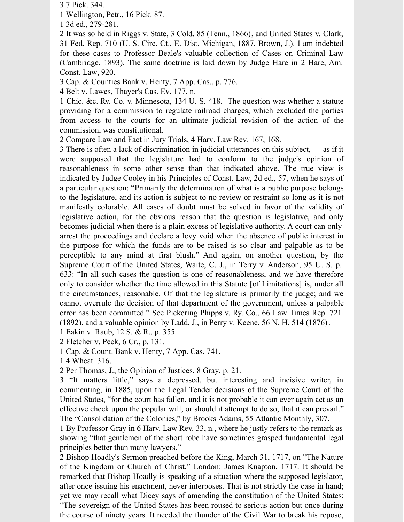[3](https://1.next.westlaw.com/Document/If899a5466b1411de9b8c850332338889/View/FullText.html?transitionType=UniqueDocItem&contextData=(sc.Default)&userEnteredCitation=7+Harv+l+rev+129#co_fnRef_F3XXe345395632_ID0EDBAG) 7 [Pick.](https://1.next.westlaw.com/Link/Document/FullText?findType=Y&serNum=1829004642&pubNum=2679&originatingDoc=If899a5466b1411de9b8c850332338889&refType=RP&originationContext=document&transitionType=DocumentItem&ppcid=077cb390a3d445f7b3137849036c3585&contextData=(sc.UserEnteredCitation)) 344.

[1](https://1.next.westlaw.com/Document/If899a5466b1411de9b8c850332338889/View/FullText.html?transitionType=UniqueDocItem&contextData=(sc.Default)&userEnteredCitation=7+Harv+l+rev+129#co_fnRef_F1XXo345395632_ID0EEEAG) [Wellington,](https://1.next.westlaw.com/Link/Document/FullText?findType=Y&serNum=1834004685&pubNum=2679&originatingDoc=If899a5466b1411de9b8c850332338889&refType=RP&originationContext=document&transitionType=DocumentItem&ppcid=077cb390a3d445f7b3137849036c3585&contextData=(sc.UserEnteredCitation)) Petr., 16 Pick. 87.

[1](https://1.next.westlaw.com/Document/If899a5466b1411de9b8c850332338889/View/FullText.html?transitionType=UniqueDocItem&contextData=(sc.Default)&userEnteredCitation=7+Harv+l+rev+129#co_fnRef_F1XXp345395632_ID0EVFAG) 3d ed., 279-281.

[2](https://1.next.westlaw.com/Document/If899a5466b1411de9b8c850332338889/View/FullText.html?transitionType=UniqueDocItem&contextData=(sc.Default)&userEnteredCitation=7+Harv+l+rev+129#co_fnRef_F2XXh345395632_ID0EVGAG) It was so held in Riggs v. State, 3 Cold. 85 [\(Tenn.,](https://1.next.westlaw.com/Link/Document/FullText?findType=Y&serNum=1866003136&pubNum=2263&originatingDoc=If899a5466b1411de9b8c850332338889&refType=RP&originationContext=document&transitionType=DocumentItem&ppcid=077cb390a3d445f7b3137849036c3585&contextData=(sc.UserEnteredCitation)) 1866), and United States v. Clark, 31 Fed. Rep. 710 (U. S. Circ. Ct., E. Dist. [Michigan,](https://1.next.westlaw.com/Link/Document/FullText?findType=Y&serNum=1887149187&pubNum=348&originatingDoc=If899a5466b1411de9b8c850332338889&refType=RP&originationContext=document&transitionType=DocumentItem&ppcid=077cb390a3d445f7b3137849036c3585&contextData=(sc.UserEnteredCitation)) 1887, Brown, J.). I am indebted for these cases to Professor Beale's valuable collection of Cases on Criminal Law (Cambridge, 1893). The same doctrine is laid down by Judge Hare in 2 Hare, Am. Const. Law, 920.

[3](https://1.next.westlaw.com/Document/If899a5466b1411de9b8c850332338889/View/FullText.html?transitionType=UniqueDocItem&contextData=(sc.Default)&userEnteredCitation=7+Harv+l+rev+129#co_fnRef_F3XXf345395632_ID0E1GAG) Cap. & Counties Bank v. Henty, 7 App. Cas., p. 776.

[4](https://1.next.westlaw.com/Document/If899a5466b1411de9b8c850332338889/View/FullText.html?transitionType=UniqueDocItem&contextData=(sc.Default)&userEnteredCitation=7+Harv+l+rev+129#co_fnRef_F4XXb345395632_ID0ERHAG) Belt v. Lawes, Thayer's Cas. Ev. 177, n.

[1](https://1.next.westlaw.com/Document/If899a5466b1411de9b8c850332338889/View/FullText.html?transitionType=UniqueDocItem&contextData=(sc.Default)&userEnteredCitation=7+Harv+l+rev+129#co_fnRef_F1XXq345395632_ID0EXIAG) Chic. &c. Ry. Co. v. [Minnesota,](https://1.next.westlaw.com/Link/Document/FullText?findType=Y&pubNum=780&cite=134US418&originatingDoc=If899a5466b1411de9b8c850332338889&refType=RP&originationContext=document&transitionType=DocumentItem&ppcid=077cb390a3d445f7b3137849036c3585&contextData=(sc.UserEnteredCitation)) 134 U. S. 418. The question was whether a statute providing for a commission to regulate railroad charges, which excluded the parties from access to the courts for an ultimate judicial revision of the action of the commission, was constitutional.

[2](https://1.next.westlaw.com/Document/If899a5466b1411de9b8c850332338889/View/FullText.html?transitionType=UniqueDocItem&contextData=(sc.Default)&userEnteredCitation=7+Harv+l+rev+129#co_fnRef_F2XXi345395632_ID0EBJAG) Compare Law and Fact in Jury Trials, 4 Harv. Law Rev. 167, 168.

[3](https://1.next.westlaw.com/Document/If899a5466b1411de9b8c850332338889/View/FullText.html?transitionType=UniqueDocItem&contextData=(sc.Default)&userEnteredCitation=7+Harv+l+rev+129#co_fnRef_F3XXg345395632_ID0ELJAG) There is often a lack of discrimination in judicial utterances on this subject, — as if it were supposed that the legislature had to conform to the judge's opinion of reasonableness in some other sense than that indicated above. The true view is indicated by Judge Cooley in his Principles of Const. Law, 2d ed., 57, when he says of a particular question: "Primarily the determination of what is a public purpose belongs to the legislature, and its action is subject to no review or restraint so long as it is not manifestly colorable. All cases of doubt must be solved in favor of the validity of legislative action, for the obvious reason that the question is legislative, and only becomes judicial when there is a plain excess of legislative authority. A court can only arrest the proceedings and declare a levy void when the absence of public interest in the purpose for which the funds are to be raised is so clear and palpable as to be perceptible to any mind at first blush." And again, on another question, by the Supreme Court of the United States, Waite, C. J., in Terry v. Anderson, 95 U. S. p. 633: "In all such cases the question is one of reasonableness, and we have therefore only to consider whether the time allowed in this Statute [of Limitations] is, under all the circumstances, reasonable. Of that the legislature is primarily the judge; and we cannot overrule the decision of that department of the government, unless a palpable error has been committed." See Pickering Phipps v. Ry. Co., 66 Law Times Rep. 721 (1892), and a valuable opinion by Ladd, J., in Perry v. [Keene,](https://1.next.westlaw.com/Link/Document/FullText?findType=Y&serNum=1876008147&pubNum=579&originatingDoc=If899a5466b1411de9b8c850332338889&refType=RP&originationContext=document&transitionType=DocumentItem&ppcid=077cb390a3d445f7b3137849036c3585&contextData=(sc.UserEnteredCitation)) 56 N. H. 514 (1876).

[1](https://1.next.westlaw.com/Document/If899a5466b1411de9b8c850332338889/View/FullText.html?transitionType=UniqueDocItem&contextData=(sc.Default)&userEnteredCitation=7+Harv+l+rev+129#co_fnRef_F1XXr345395632_ID0ESKAG) Eakin v. Raub, 12 S. & R., p. 355.

[2](https://1.next.westlaw.com/Document/If899a5466b1411de9b8c850332338889/View/FullText.html?transitionType=UniqueDocItem&contextData=(sc.Default)&userEnteredCitation=7+Harv+l+rev+129#co_fnRef_F2XXj345395632_ID0E5KAG) Fletcher v. Peck, 6 Cr., p. 131.

[1](https://1.next.westlaw.com/Document/If899a5466b1411de9b8c850332338889/View/FullText.html?transitionType=UniqueDocItem&contextData=(sc.Default)&userEnteredCitation=7+Harv+l+rev+129#co_fnRef_F1XXs345395632_ID0EONAG) Cap. & Count. Bank v. Henty, 7 App. Cas. 741.

[1](https://1.next.westlaw.com/Document/If899a5466b1411de9b8c850332338889/View/FullText.html?transitionType=UniqueDocItem&contextData=(sc.Default)&userEnteredCitation=7+Harv+l+rev+129#co_fnRef_F1XXt345395632_ID0ETOAG) 4 [Wheat.](https://1.next.westlaw.com/Link/Document/FullText?findType=Y&serNum=1800123335&pubNum=780&originatingDoc=If899a5466b1411de9b8c850332338889&refType=RP&originationContext=document&transitionType=DocumentItem&ppcid=077cb390a3d445f7b3137849036c3585&contextData=(sc.UserEnteredCitation)) 316.

[2](https://1.next.westlaw.com/Document/If899a5466b1411de9b8c850332338889/View/FullText.html?transitionType=UniqueDocItem&contextData=(sc.Default)&userEnteredCitation=7+Harv+l+rev+129#co_fnRef_F2XXk345395632_ID0EQPAG) Per Thomas, J., the Opinion of Justices, 8 Gray, p. 21.

[3](https://1.next.westlaw.com/Document/If899a5466b1411de9b8c850332338889/View/FullText.html?transitionType=UniqueDocItem&contextData=(sc.Default)&userEnteredCitation=7+Harv+l+rev+129#co_fnRef_F3XXh345395632_ID0EYPAG) "It matters little," says a depressed, but interesting and incisive writer, in commenting, in 1885, upon the Legal Tender decisions of the Supreme Court of the United States, "for the court has fallen, and it is not probable it can ever again act as an effective check upon the popular will, or should it attempt to do so, that it can prevail." The "Consolidation of the Colonies," by Brooks Adams, 55 Atlantic Monthly, 307.

[1](https://1.next.westlaw.com/Document/If899a5466b1411de9b8c850332338889/View/FullText.html?transitionType=UniqueDocItem&contextData=(sc.Default)&userEnteredCitation=7+Harv+l+rev+129#co_fnRef_F1XXu345395632_ID0EPRAG) By Professor Gray in 6 Harv. Law Rev. 33, n., where he justly refers to the remark as showing "that gentlemen of the short robe have sometimes grasped fundamental legal principles better than many lawyers."

[2](https://1.next.westlaw.com/Document/If899a5466b1411de9b8c850332338889/View/FullText.html?transitionType=UniqueDocItem&contextData=(sc.Default)&userEnteredCitation=7+Harv+l+rev+129#co_fnRef_F2XXl345395632_ID0EHSAG) Bishop Hoadly's Sermon preached before the King, March 31, 1717, on "The Nature of the Kingdom or Church of Christ." London: James Knapton, 1717. It should be remarked that Bishop Hoadly is speaking of a situation where the supposed legislator, after once issuing his enactment, never interposes. That is not strictly the case in hand; yet we may recall what Dicey says of amending the constitution of the United States: "The sovereign of the United States has been roused to serious action but once during the course of ninety years. It needed the thunder of the Civil War to break his repose,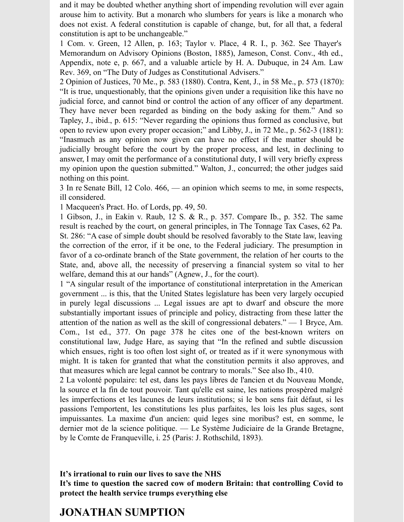and it may be doubted whether anything short of impending revolution will ever again arouse him to activity. But a monarch who slumbers for years is like a monarch who does not exist. A federal constitution is capable of change, but, for all that, a federal constitution is apt to be unchangeable."

[1](https://1.next.westlaw.com/Document/If899a5466b1411de9b8c850332338889/View/FullText.html?transitionType=UniqueDocItem&contextData=(sc.Default)&userEnteredCitation=7+Harv+l+rev+129#co_fnRef_F1XXv345395632_ID0E2TAG) Com. v. Green, 12 Allen, p. 163; Taylor v. Place, 4 R. I., p. 362. See Thayer's Memorandum on Advisory Opinions (Boston, 1885), Jameson, Const. Conv., 4th ed., Appendix, note e, p. 667, and a valuable article by H. A. Dubuque, in 24 Am. Law Rev. 369, on "The Duty of Judges as [Constitutional](https://1.next.westlaw.com/Link/Document/FullText?findType=Y&pubNum=3237&cite=24AMERLAWREV369&originatingDoc=If899a5466b1411de9b8c850332338889&refType=RP&originationContext=document&transitionType=DocumentItem&ppcid=077cb390a3d445f7b3137849036c3585&contextData=(sc.UserEnteredCitation)) Advisers."

[2](https://1.next.westlaw.com/Document/If899a5466b1411de9b8c850332338889/View/FullText.html?transitionType=UniqueDocItem&contextData=(sc.Default)&userEnteredCitation=7+Harv+l+rev+129#co_fnRef_F2XXm345395632_ID0E5TAG) Opinion of Justices, 70 Me., p. 583 (1880). Contra, Kent, J., in 58 Me., p. 573 (1870): "It is true, unquestionably, that the opinions given under a requisition like this have no judicial force, and cannot bind or control the action of any officer of any department. They have never been regarded as binding on the body asking for them." And so Tapley, J., ibid., p. 615: "Never regarding the opinions thus formed as conclusive, but open to review upon every proper occasion;" and Libby, J., in 72 Me., p. 562-3 (1881): "Inasmuch as any opinion now given can have no effect if the matter should be judicially brought before the court by the proper process, and lest, in declining to answer, I may omit the performance of a constitutional duty, I will very briefly express my opinion upon the question submitted." Walton, J., concurred; the other judges said nothing on this point.

[3](https://1.next.westlaw.com/Document/If899a5466b1411de9b8c850332338889/View/FullText.html?transitionType=UniqueDocItem&contextData=(sc.Default)&userEnteredCitation=7+Harv+l+rev+129#co_fnRef_F3XXi345395632_ID0EBUAG) In re [Senate](https://1.next.westlaw.com/Link/Document/FullText?findType=Y&serNum=1889000917&pubNum=267&originatingDoc=If899a5466b1411de9b8c850332338889&refType=RP&originationContext=document&transitionType=DocumentItem&ppcid=077cb390a3d445f7b3137849036c3585&contextData=(sc.UserEnteredCitation)) Bill, 12 Colo. 466, — an opinion which seems to me, in some respects, ill considered.

[1](https://1.next.westlaw.com/Document/If899a5466b1411de9b8c850332338889/View/FullText.html?transitionType=UniqueDocItem&contextData=(sc.Default)&userEnteredCitation=7+Harv+l+rev+129#co_fnRef_F1XXw345395632_ID0ELUAG) Macqueen's Pract. Ho. of Lords, pp. 49, 50.

[1](https://1.next.westlaw.com/Document/If899a5466b1411de9b8c850332338889/View/FullText.html?transitionType=UniqueDocItem&contextData=(sc.Default)&userEnteredCitation=7+Harv+l+rev+129#co_fnRef_F1XXx345395632_ID0E2WAG) Gibson, J., in Eakin v. Raub, 12 S. & R., p. 357. Compare Ib., p. 352. The same result is reached by the court, on general principles, in The Tonnage Tax Cases, 62 Pa. St. 286: "A case of simple doubt should be resolved favorably to the State law, leaving the correction of the error, if it be one, to the Federal judiciary. The presumption in favor of a co-ordinate branch of the State government, the relation of her courts to the State, and, above all, the necessity of preserving a financial system so vital to her welfare, demand this at our hands" (Agnew, J., for the court).

[1](https://1.next.westlaw.com/Document/If899a5466b1411de9b8c850332338889/View/FullText.html?transitionType=UniqueDocItem&contextData=(sc.Default)&userEnteredCitation=7+Harv+l+rev+129#co_fnRef_F1XXy345395632_ID0E5XAG) "A singular result of the importance of constitutional interpretation in the American government ... is this, that the United States legislature has been very largely occupied in purely legal discussions ... Legal issues are apt to dwarf and obscure the more substantially important issues of principle and policy, distracting from these latter the attention of the nation as well as the skill of congressional debaters." — 1 Bryce, Am. Com., 1st ed., 377. On page 378 he cites one of the best-known writers on constitutional law, Judge Hare, as saying that "In the refined and subtle discussion which ensues, right is too often lost sight of, or treated as if it were synonymous with might. It is taken for granted that what the constitution permits it also approves, and that measures which are legal cannot be contrary to morals." See also Ib., 410.

[2](https://1.next.westlaw.com/Document/If899a5466b1411de9b8c850332338889/View/FullText.html?transitionType=UniqueDocItem&contextData=(sc.Default)&userEnteredCitation=7+Harv+l+rev+129#co_fnRef_F2XXn345395632_ID0EOYAG) La volonté populaire: tel est, dans les pays libres de l'ancien et du Nouveau Monde, la source et la fin de tout pouvoir. Tant qu'elle est saine, les nations prospèred malgré les imperfections et les lacunes de leurs institutions; si le bon sens fait défaut, si les passions l'emportent, les constitutions les plus parfaites, les lois les plus sages, sont impuissantes. La maxime d'un ancien: quid leges sine moribus? est, en somme, le dernier mot de la science politique. — Le Système Judiciaire de la Grande Bretagne, by le Comte de Franqueville, i. 25 (Paris: J. Rothschild, 1893).

#### **It's irrational to ruin our lives to save the NHS It's time to question the sacred cow of modern Britain: that controlling Covid to protect the health service trumps everything else**

## **JONATHAN SUMPTION**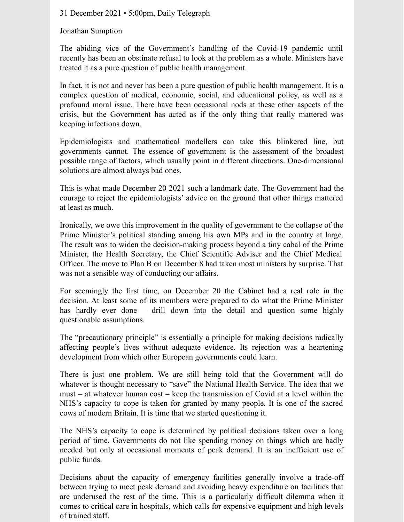31 December 2021 • 5:00pm, Daily Telegraph

Jonathan Sumption

The abiding vice of the Government's handling of the Covid-19 pandemic until recently has been an obstinate refusal to look at the problem as a whole. Ministers have treated it as a pure question of public health management.

In fact, it is not and never has been a pure question of public health management. It is a complex question of medical, economic, social, and educational policy, as well as a profound moral issue. There have been occasional nods at these other aspects of the crisis, but the Government has acted as if the only thing that really mattered was keeping infections down.

Epidemiologists and mathematical modellers can take this blinkered line, but governments cannot. The essence of government is the assessment of the broadest possible range of factors, which usually point in different directions. One-dimensional solutions are almost always bad ones.

This is what made December 20 2021 such a landmark date. The Government had the courage to reject the epidemiologists' advice on the ground that other things mattered at least as much.

Ironically, we owe this improvement in the quality of government to the collapse of the Prime Minister's political standing among his own MPs and in the country at large. The result was to widen the decision-making process beyond a tiny cabal of the Prime Minister, the Health Secretary, the Chief Scientific Adviser and the Chief Medical Officer. The move to Plan B on December 8 had taken most ministers by surprise. That was not a sensible way of conducting our affairs.

For seemingly the first time, on December 20 the Cabinet had a real role in the decision. At least some of its members were prepared to do what the Prime Minister has hardly ever done – drill down into the detail and question some highly questionable assumptions.

The "precautionary principle" is essentially a principle for making decisions radically affecting people's lives without adequate evidence. Its rejection was a heartening development from which other European governments could learn.

There is just one problem. We are still being told that the Government will do whatever is thought necessary to "save" the National Health Service. The idea that we must – at whatever human cost – keep the transmission of Covid at a level within the NHS's capacity to cope is taken for granted by many people. It is one of the sacred cows of modern Britain. It is time that we started questioning it.

The NHS's capacity to cope is determined by political decisions taken over a long period of time. Governments do not like spending money on things which are badly needed but only at occasional moments of peak demand. It is an inefficient use of public funds.

Decisions about the capacity of emergency facilities generally involve a trade-off between trying to meet peak demand and avoiding heavy expenditure on facilities that are underused the rest of the time. This is a particularly difficult dilemma when it comes to critical care in hospitals, which calls for expensive equipment and high levels of trained staff.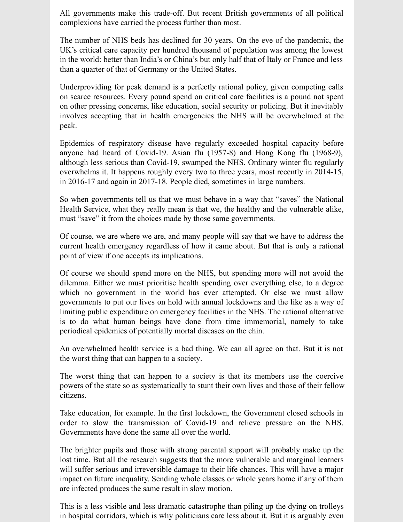All governments make this trade-off. But recent British governments of all political complexions have carried the process further than most.

The number of NHS beds has declined for 30 years. On the eve of the pandemic, the UK's critical care capacity per hundred thousand of population was among the lowest in the world: better than India's or China's but only half that of Italy or France and less than a quarter of that of Germany or the United States.

Underproviding for peak demand is a perfectly rational policy, given competing calls on scarce resources. Every pound spend on critical care facilities is a pound not spent on other pressing concerns, like education, social security or policing. But it inevitably involves accepting that in health emergencies the NHS will be overwhelmed at the peak.

Epidemics of respiratory disease have regularly exceeded hospital capacity before anyone had heard of Covid-19. Asian flu (1957-8) and Hong Kong flu (1968-9), although less serious than Covid-19, swamped the NHS. Ordinary winter flu regularly overwhelms it. It happens roughly every two to three years, most recently in 2014-15, in 2016-17 and again in 2017-18. People died, sometimes in large numbers.

So when governments tell us that we must behave in a way that "saves" the National Health Service, what they really mean is that we, the healthy and the vulnerable alike, must "save" it from the choices made by those same governments.

Of course, we are where we are, and many people will say that we have to address the current health emergency regardless of how it came about. But that is only a rational point of view if one accepts its implications.

Of course we should spend more on the NHS, but spending more will not avoid the dilemma. Either we must prioritise health spending over everything else, to a degree which no government in the world has ever attempted. Or else we must allow governments to put our lives on hold with annual lockdowns and the like as a way of limiting public expenditure on emergency facilities in the NHS. The rational alternative is to do what human beings have done from time immemorial, namely to take periodical epidemics of potentially mortal diseases on the chin.

An overwhelmed health service is a bad thing. We can all agree on that. But it is not the worst thing that can happen to a society.

The worst thing that can happen to a society is that its members use the coercive powers of the state so as systematically to stunt their own lives and those of their fellow citizens.

Take education, for example. In the first lockdown, the Government closed schools in order to slow the transmission of Covid-19 and relieve pressure on the NHS. Governments have done the same all over the world.

The brighter pupils and those with strong parental support will probably make up the lost time. But all the research suggests that the more vulnerable and marginal learners will suffer serious and irreversible damage to their life chances. This will have a major impact on future inequality. Sending whole classes or whole years home if any of them are infected produces the same result in slow motion.

This is a less visible and less dramatic catastrophe than piling up the dying on trolleys in hospital corridors, which is why politicians care less about it. But it is arguably even